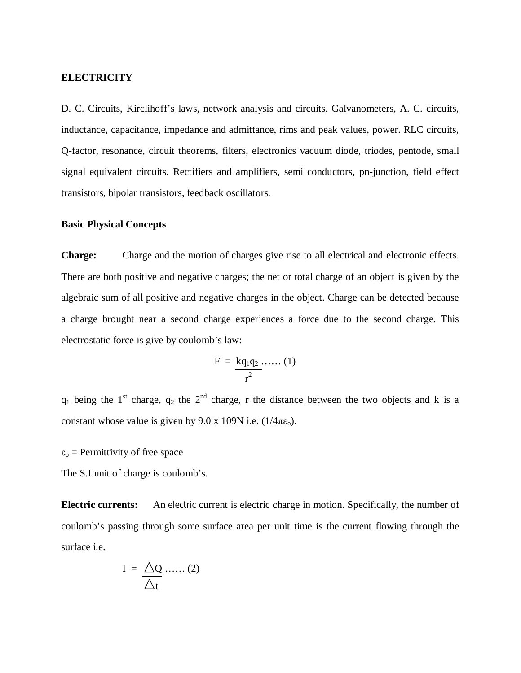### **ELECTRICITY**

D. C. Circuits, Kirclihoff's laws, network analysis and circuits. Galvanometers, A. C. circuits, inductance, capacitance, impedance and admittance, rims and peak values, power. RLC circuits, Q-factor, resonance, circuit theorems, filters, electronics vacuum diode, triodes, pentode, small signal equivalent circuits. Rectifiers and amplifiers, semi conductors, pn-junction, field effect transistors, bipolar transistors, feedback oscillators.

# **Basic Physical Concepts**

**Charge:** Charge and the motion of charges give rise to all electrical and electronic effects. There are both positive and negative charges; the net or total charge of an object is given by the algebraic sum of all positive and negative charges in the object. Charge can be detected because a charge brought near a second charge experiences a force due to the second charge. This electrostatic force is give by coulomb's law:

$$
F = \frac{kq_1q_2 \ldots (1)}{r^2}
$$

 $q_1$  being the 1<sup>st</sup> charge,  $q_2$  the 2<sup>nd</sup> charge, r the distance between the two objects and k is a constant whose value is given by 9.0 x 109N i.e.  $(1/4\pi\epsilon_0)$ .

 $\varepsilon_0$  = Permittivity of free space

The S.I unit of charge is coulomb's.

**Electric currents:** An electric current is electric charge in motion. Specifically, the number of coulomb's passing through some surface area per unit time is the current flowing through the surface i.e.

$$
I = \frac{\triangle Q \dots (2)}{\triangle t}
$$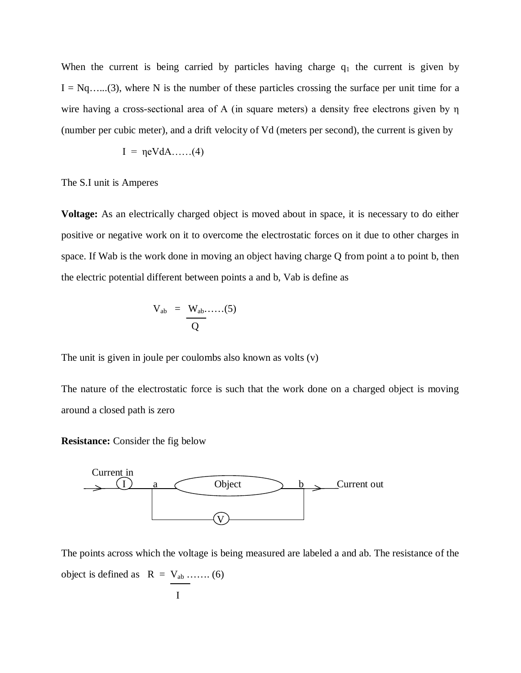When the current is being carried by particles having charge  $q_1$  the current is given by  $I = Nq$ ......(3), where N is the number of these particles crossing the surface per unit time for a wire having a cross-sectional area of A (in square meters) a density free electrons given by η (number per cubic meter), and a drift velocity of Vd (meters per second), the current is given by

$$
I = \eta eV dA \dots (4)
$$

The S.I unit is Amperes

**Voltage:** As an electrically charged object is moved about in space, it is necessary to do either positive or negative work on it to overcome the electrostatic forces on it due to other charges in space. If Wab is the work done in moving an object having charge Q from point a to point b, then the electric potential different between points a and b, Vab is define as

$$
V_{ab} = \frac{W_{ab} \dots (5)}{Q}
$$

The unit is given in joule per coulombs also known as volts (v)

The nature of the electrostatic force is such that the work done on a charged object is moving around a closed path is zero

**Resistance:** Consider the fig below



The points across which the voltage is being measured are labeled a and ab. The resistance of the object is defined as  $R = V_{ab}$  ……. (6)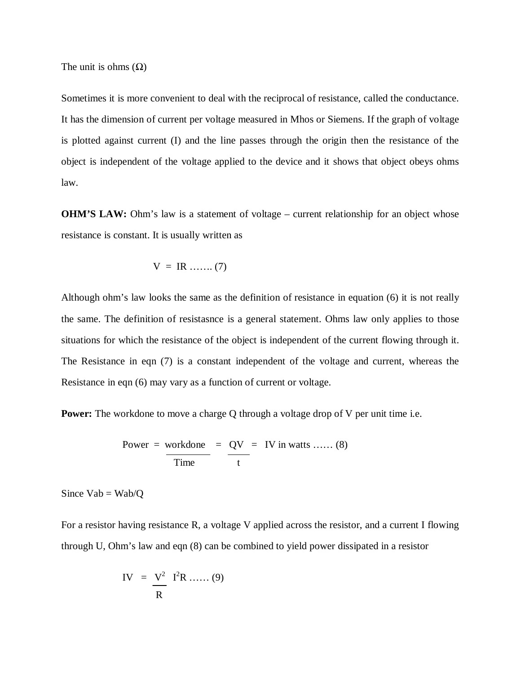The unit is ohms  $(\Omega)$ 

Sometimes it is more convenient to deal with the reciprocal of resistance, called the conductance. It has the dimension of current per voltage measured in Mhos or Siemens. If the graph of voltage is plotted against current (I) and the line passes through the origin then the resistance of the object is independent of the voltage applied to the device and it shows that object obeys ohms law.

**OHM'S LAW:** Ohm's law is a statement of voltage – current relationship for an object whose resistance is constant. It is usually written as

$$
V = IR \dots (7)
$$

Although ohm's law looks the same as the definition of resistance in equation (6) it is not really the same. The definition of resistasnce is a general statement. Ohms law only applies to those situations for which the resistance of the object is independent of the current flowing through it. The Resistance in eqn (7) is a constant independent of the voltage and current, whereas the Resistance in eqn (6) may vary as a function of current or voltage.

**Power:** The workdone to move a charge Q through a voltage drop of V per unit time i.e.

Power = workdone = 
$$
QV = IV
$$
 in watts ...... (8)  
Time =  $\frac{QV}{t}$  = IV in watts ...... (8)

Since  $Vab = Wab/Q$ 

For a resistor having resistance R, a voltage V applied across the resistor, and a current I flowing through U, Ohm's law and eqn (8) can be combined to yield power dissipated in a resistor

$$
IV = \frac{V^2}{R} I^2R \dots (9)
$$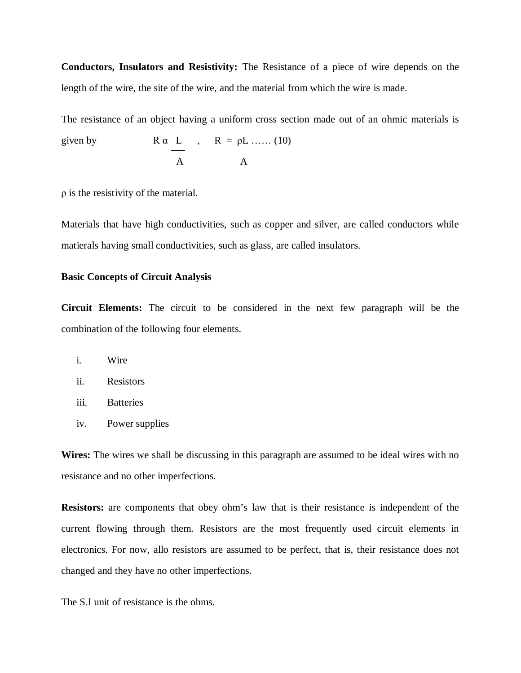**Conductors, Insulators and Resistivity:** The Resistance of a piece of wire depends on the length of the wire, the site of the wire, and the material from which the wire is made.

The resistance of an object having a uniform cross section made out of an ohmic materials is

given by 
$$
R \alpha \underline{L}
$$
,  $R = \underline{\rho L}$ ..... (10)  
A

ρ is the resistivity of the material.

Materials that have high conductivities, such as copper and silver, are called conductors while matierals having small conductivities, such as glass, are called insulators.

### **Basic Concepts of Circuit Analysis**

**Circuit Elements:** The circuit to be considered in the next few paragraph will be the combination of the following four elements.

- i. Wire
- ii. Resistors
- iii. Batteries
- iv. Power supplies

**Wires:** The wires we shall be discussing in this paragraph are assumed to be ideal wires with no resistance and no other imperfections.

**Resistors:** are components that obey ohm's law that is their resistance is independent of the current flowing through them. Resistors are the most frequently used circuit elements in electronics. For now, allo resistors are assumed to be perfect, that is, their resistance does not changed and they have no other imperfections.

The S.I unit of resistance is the ohms.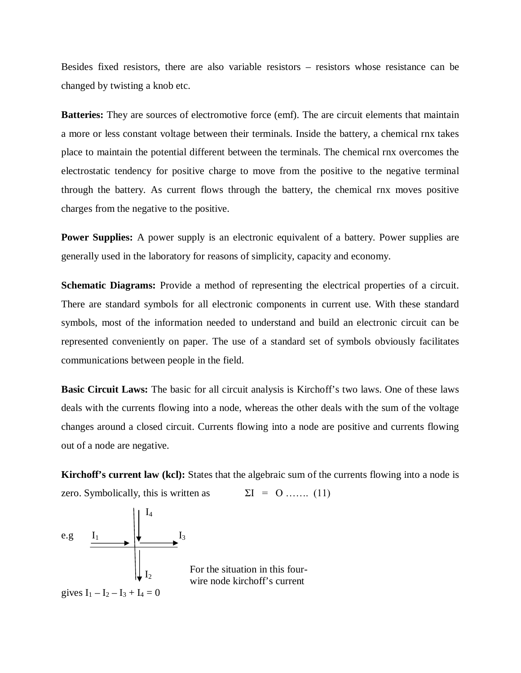Besides fixed resistors, there are also variable resistors – resistors whose resistance can be changed by twisting a knob etc.

**Batteries:** They are sources of electromotive force (emf). The are circuit elements that maintain a more or less constant voltage between their terminals. Inside the battery, a chemical rnx takes place to maintain the potential different between the terminals. The chemical rnx overcomes the electrostatic tendency for positive charge to move from the positive to the negative terminal through the battery. As current flows through the battery, the chemical rnx moves positive charges from the negative to the positive.

**Power Supplies:** A power supply is an electronic equivalent of a battery. Power supplies are generally used in the laboratory for reasons of simplicity, capacity and economy.

**Schematic Diagrams:** Provide a method of representing the electrical properties of a circuit. There are standard symbols for all electronic components in current use. With these standard symbols, most of the information needed to understand and build an electronic circuit can be represented conveniently on paper. The use of a standard set of symbols obviously facilitates communications between people in the field.

**Basic Circuit Laws:** The basic for all circuit analysis is Kirchoff's two laws. One of these laws deals with the currents flowing into a node, whereas the other deals with the sum of the voltage changes around a closed circuit. Currents flowing into a node are positive and currents flowing out of a node are negative.

**Kirchoff's current law (kcl):** States that the algebraic sum of the currents flowing into a node is zero. Symbolically, this is written as  $\Sigma I = 0$  … (11)

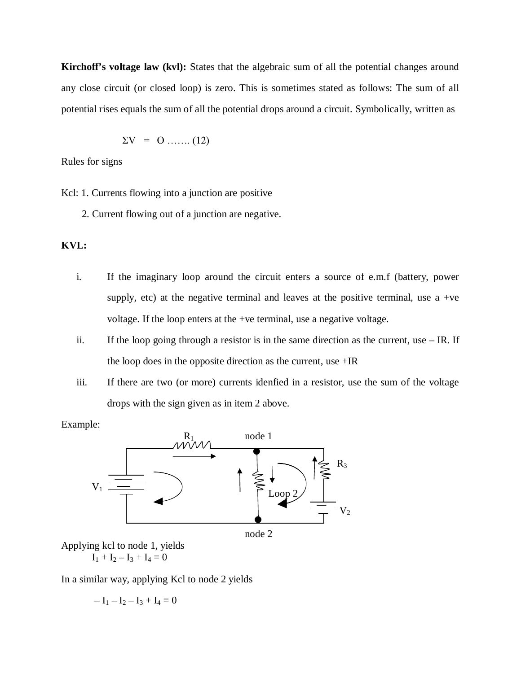**Kirchoff's voltage law (kvl):** States that the algebraic sum of all the potential changes around any close circuit (or closed loop) is zero. This is sometimes stated as follows: The sum of all potential rises equals the sum of all the potential drops around a circuit. Symbolically, written as

$$
\Sigma V = 0 \dots (12)
$$

Rules for signs

Kcl: 1. Currents flowing into a junction are positive

2. Current flowing out of a junction are negative.

# **KVL:**

- i. If the imaginary loop around the circuit enters a source of e.m.f (battery, power supply, etc) at the negative terminal and leaves at the positive terminal, use a +ve voltage. If the loop enters at the +ve terminal, use a negative voltage.
- ii. If the loop going through a resistor is in the same direction as the current, use IR. If the loop does in the opposite direction as the current, use +IR
- iii. If there are two (or more) currents idenfied in a resistor, use the sum of the voltage drops with the sign given as in item 2 above.

Example:



Applying kcl to node 1, yields  $I_1 + I_2 - I_3 + I_4 = 0$ 

In a similar way, applying Kcl to node 2 yields

$$
-\ I_1 - I_2 - I_3 + I_4 = 0
$$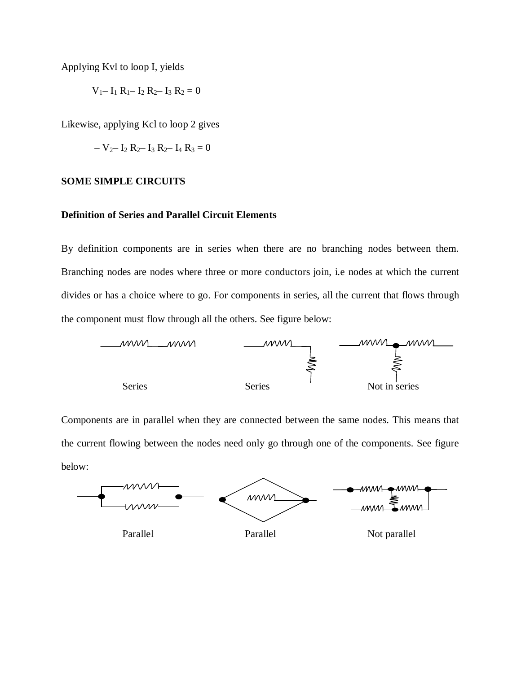Applying Kvl to loop I, yields

 $V_1 - I_1 R_1 - I_2 R_2 - I_3 R_2 = 0$ 

Likewise, applying Kcl to loop 2 gives

$$
- V_2 - I_2 R_2 - I_3 R_2 - I_4 R_3 = 0
$$

### **SOME SIMPLE CIRCUITS**

### **Definition of Series and Parallel Circuit Elements**

By definition components are in series when there are no branching nodes between them. Branching nodes are nodes where three or more conductors join, i.e nodes at which the current divides or has a choice where to go. For components in series, all the current that flows through the component must flow through all the others. See figure below:



Components are in parallel when they are connected between the same nodes. This means that the current flowing between the nodes need only go through one of the components. See figure below:

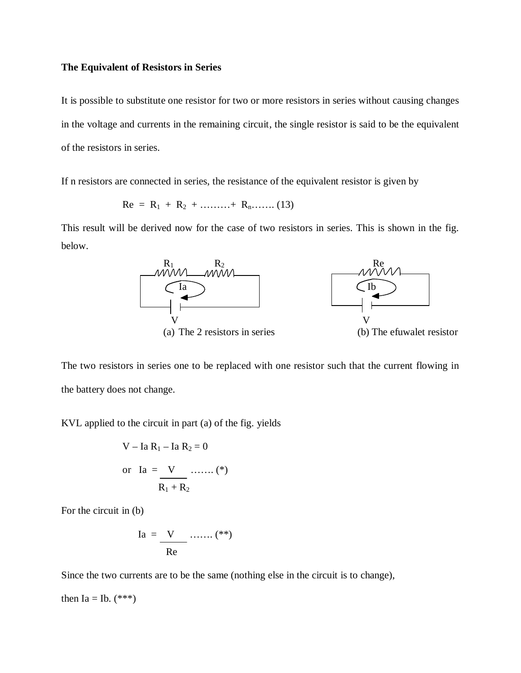#### **The Equivalent of Resistors in Series**

It is possible to substitute one resistor for two or more resistors in series without causing changes in the voltage and currents in the remaining circuit, the single resistor is said to be the equivalent of the resistors in series.

If n resistors are connected in series, the resistance of the equivalent resistor is given by

$$
Re = R_1 + R_2 + \dots + R_n \dots (13)
$$

This result will be derived now for the case of two resistors in series. This is shown in the fig. below.



The two resistors in series one to be replaced with one resistor such that the current flowing in the battery does not change.

KVL applied to the circuit in part (a) of the fig. yields

V – Ia R<sub>1</sub> – Ia R<sub>2</sub> = 0  
or Ia = V ......... (\*)  

$$
R_1 + R_2
$$

For the circuit in (b)

$$
Ia = \frac{V}{Re}
$$
...... (\*\*)

Since the two currents are to be the same (nothing else in the circuit is to change),

then Ia = Ib.  $(***)$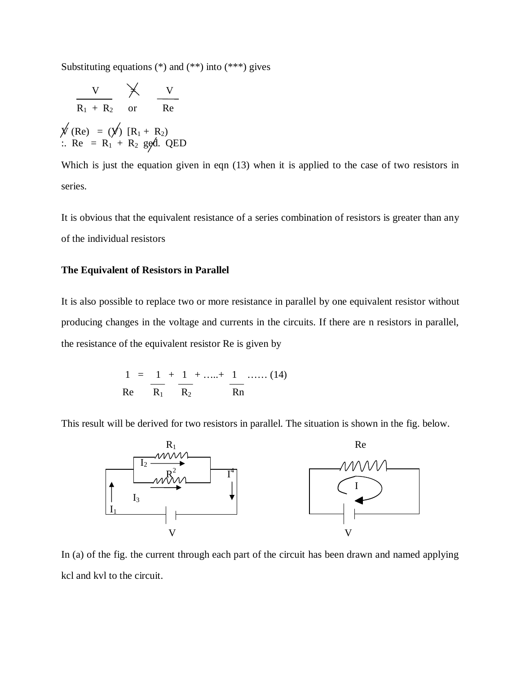Substituting equations  $(*)$  and  $(***)$  into  $(***)$  gives

$$
\begin{array}{ccc}\n & \text{V} & \text{X} & \text{V} \\
\hline\n & R_1 + R_2 & \text{or} & Re \\
\hline\n\text{W (Re)} & = & (\text{V}) [R_1 + R_2) \\
\therefore Re & = R_1 + R_2 \text{ ggd. QED}\n\end{array}
$$

Which is just the equation given in eqn (13) when it is applied to the case of two resistors in series.

It is obvious that the equivalent resistance of a series combination of resistors is greater than any of the individual resistors

### **The Equivalent of Resistors in Parallel**

It is also possible to replace two or more resistance in parallel by one equivalent resistor without producing changes in the voltage and currents in the circuits. If there are n resistors in parallel, the resistance of the equivalent resistor Re is given by

$$
\frac{1}{Re} = \frac{1}{R_1} + \frac{1}{R_2} + \dots + \frac{1}{R_n} + \dots
$$
 (14)

This result will be derived for two resistors in parallel. The situation is shown in the fig. below.



In (a) of the fig. the current through each part of the circuit has been drawn and named applying kcl and kvl to the circuit.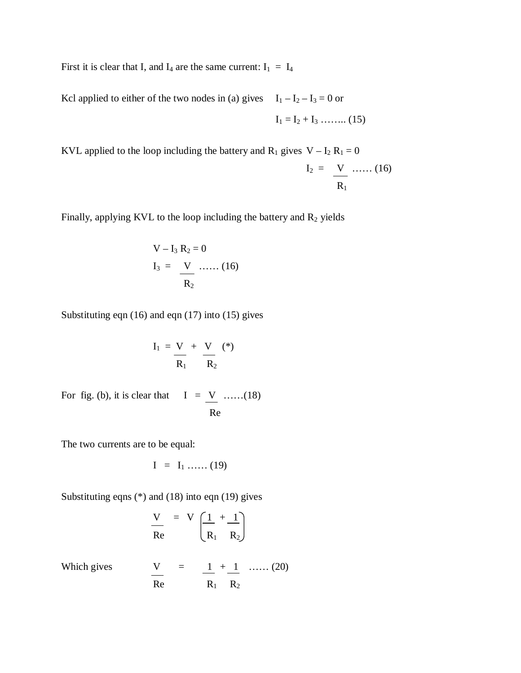First it is clear that I, and  $I_4$  are the same current:  $I_1 = I_4$ 

Kcl applied to either of the two nodes in (a) gives  $I_1 - I_2 - I_3 = 0$  or  $I_1 = I_2 + I_3$  ……... (15)

KVL applied to the loop including the battery and  $R_1$  gives  $V - I_2 R_1 = 0$ 

$$
\mathbf{I}_2 = \frac{\mathbf{V}}{\mathbf{R}_1} \dots \dots (16)
$$

Finally, applying KVL to the loop including the battery and  $R_2$  yields

$$
V - I_3 R_2 = 0
$$
  

$$
I_3 = \frac{V}{R_2} \dots (16)
$$

Substituting eqn (16) and eqn (17) into (15) gives

$$
I_1 = \frac{V}{R_1} + \frac{V}{R_2} (*)
$$

For fig. (b), it is clear that  $I = \underline{V}$  ……(18) Re

The two currents are to be equal:

$$
I = I_1 \dots (19)
$$

Substituting eqns (\*) and (18) into eqn (19) gives

$$
\frac{V}{Re} = V \left( \frac{1}{R_1} + \frac{1}{R_2} \right)
$$

Which gives 
$$
\frac{V}{Re} = \frac{1}{R_1} + \frac{1}{R_2}
$$
 ...... (20)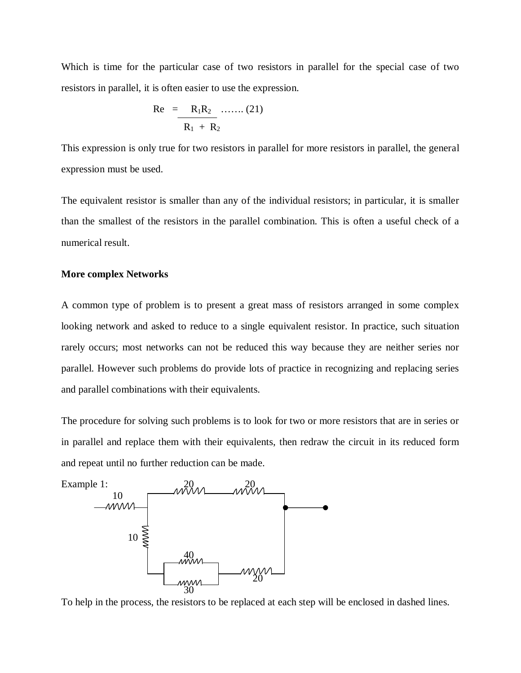Which is time for the particular case of two resistors in parallel for the special case of two resistors in parallel, it is often easier to use the expression.

Re = 
$$
R_1R_2
$$
 ...... (21)  
 $R_1 + R_2$ 

This expression is only true for two resistors in parallel for more resistors in parallel, the general expression must be used.

The equivalent resistor is smaller than any of the individual resistors; in particular, it is smaller than the smallest of the resistors in the parallel combination. This is often a useful check of a numerical result.

### **More complex Networks**

A common type of problem is to present a great mass of resistors arranged in some complex looking network and asked to reduce to a single equivalent resistor. In practice, such situation rarely occurs; most networks can not be reduced this way because they are neither series nor parallel. However such problems do provide lots of practice in recognizing and replacing series and parallel combinations with their equivalents.

The procedure for solving such problems is to look for two or more resistors that are in series or in parallel and replace them with their equivalents, then redraw the circuit in its reduced form and repeat until no further reduction can be made.



To help in the process, the resistors to be replaced at each step will be enclosed in dashed lines.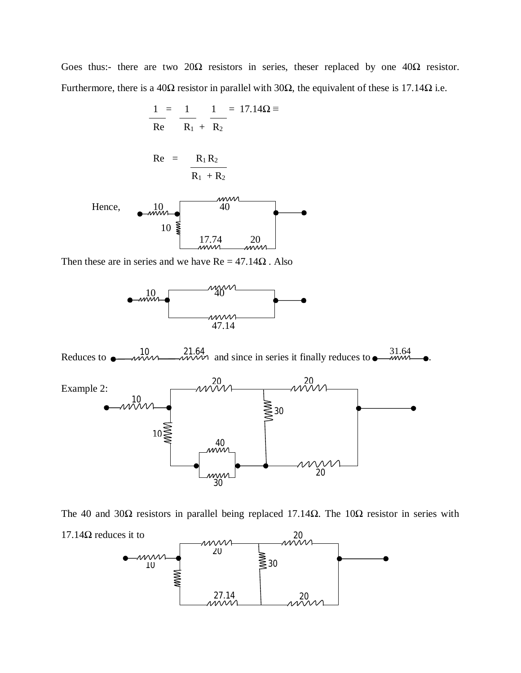Goes thus:- there are two  $20\Omega$  resistors in series, theser replaced by one  $40\Omega$  resistor. Furthermore, there is a 40Ω resistor in parallel with 30Ω, the equivalent of these is 17.14Ω i.e.

$$
\frac{1}{Re} = \frac{1}{R_1} + \frac{1}{R_2} = 17.14\Omega \equiv
$$

$$
Re = \frac{R_1 R_2}{R_1 + R_2}
$$



Then these are in series and we have  $Re = 47.14\Omega$ . Also









17.14Ω reduces it to

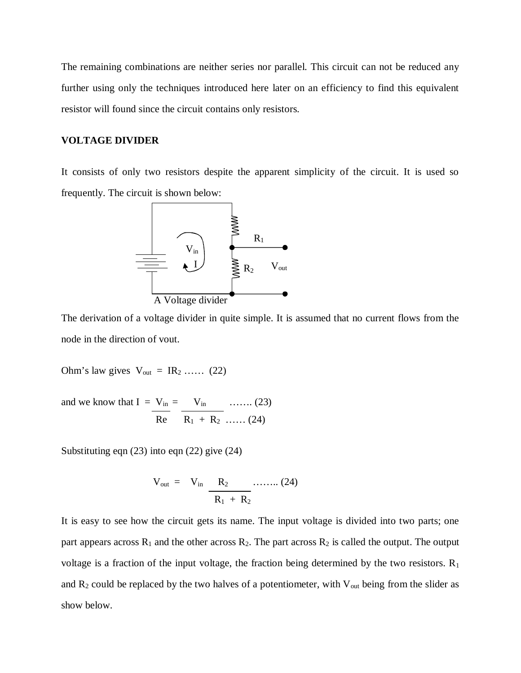The remaining combinations are neither series nor parallel. This circuit can not be reduced any further using only the techniques introduced here later on an efficiency to find this equivalent resistor will found since the circuit contains only resistors.

## **VOLTAGE DIVIDER**

It consists of only two resistors despite the apparent simplicity of the circuit. It is used so frequently. The circuit is shown below:



The derivation of a voltage divider in quite simple. It is assumed that no current flows from the node in the direction of vout.

Ohm's law gives  $V_{\text{out}} = IR_2$  …… (22)

and we know that  $I = V_{in} = V_{in} \quad \dots \dots (23)$  $Re \t R_1 + R_2 \t \ldots \t (24)$ 

Substituting eqn (23) into eqn (22) give (24)

$$
V_{out} = V_{in} \frac{R_2}{R_1 + R_2} \dots (24)
$$

It is easy to see how the circuit gets its name. The input voltage is divided into two parts; one part appears across  $R_1$  and the other across  $R_2$ . The part across  $R_2$  is called the output. The output voltage is a fraction of the input voltage, the fraction being determined by the two resistors.  $R_1$ and  $R_2$  could be replaced by the two halves of a potentiometer, with  $V_{out}$  being from the slider as show below.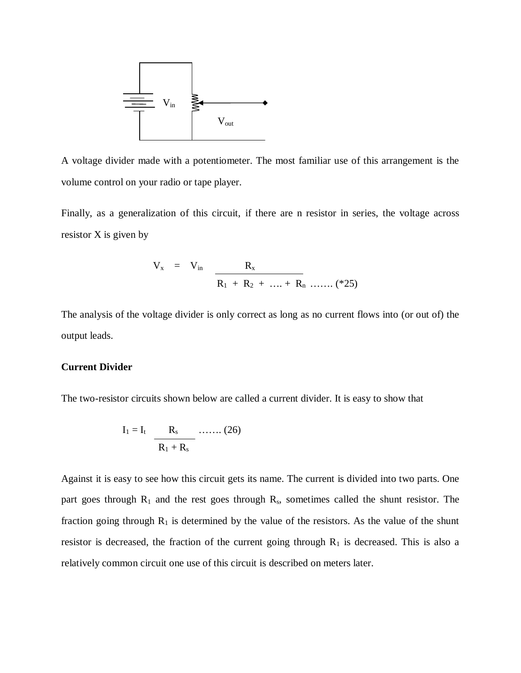

A voltage divider made with a potentiometer. The most familiar use of this arrangement is the volume control on your radio or tape player.

Finally, as a generalization of this circuit, if there are n resistor in series, the voltage across resistor X is given by

$$
V_x = V_{in} \frac{R_x}{R_1 + R_2 + \dots + R_n \dots (*25)}
$$

The analysis of the voltage divider is only correct as long as no current flows into (or out of) the output leads.

#### **Current Divider**

The two-resistor circuits shown below are called a current divider. It is easy to show that

$$
I_1 = I_t \quad \frac{R_s}{R_1 + R_s} \quad \dots \dots \quad (26)
$$

Against it is easy to see how this circuit gets its name. The current is divided into two parts. One part goes through  $R_1$  and the rest goes through  $R_s$ , sometimes called the shunt resistor. The fraction going through  $R_1$  is determined by the value of the resistors. As the value of the shunt resistor is decreased, the fraction of the current going through  $R_1$  is decreased. This is also a relatively common circuit one use of this circuit is described on meters later.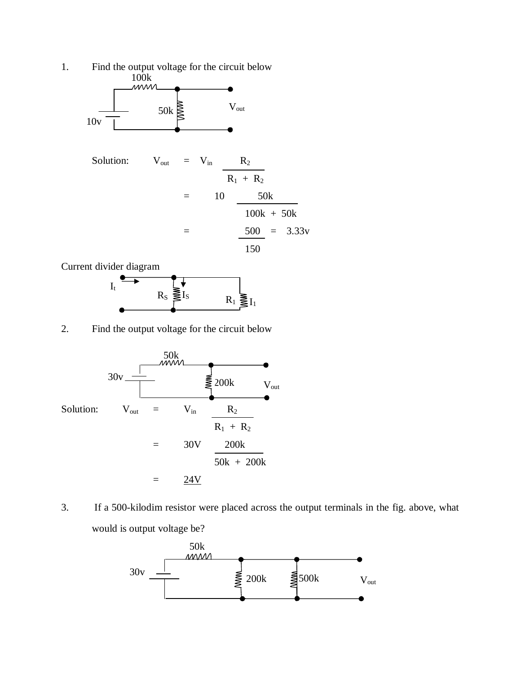

Current divider diagram



2. Find the output voltage for the circuit below



3. If a 500-kilodim resistor were placed across the output terminals in the fig. above, what would is output voltage be?

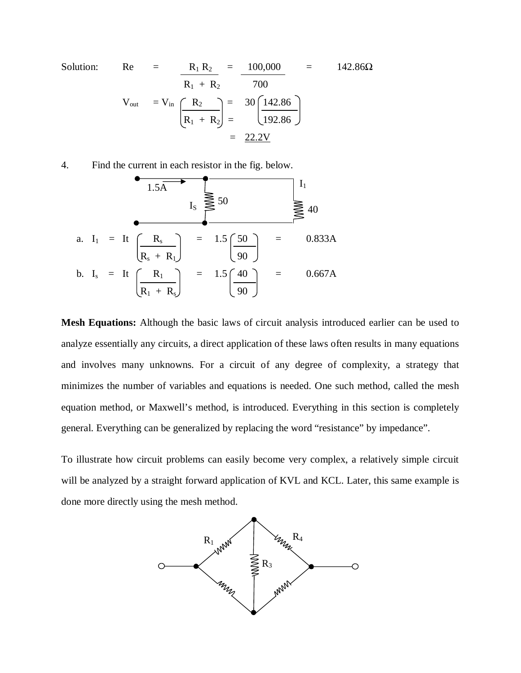Solution: Re = 
$$
\frac{R_1 R_2}{R_1 + R_2} = \frac{100,000}{700} = 142.86\Omega
$$
  

$$
V_{out} = V_{in} \frac{R_2}{\left(\frac{R_2}{R_1 + R_2}\right)} = \frac{30}{192.86}
$$

$$
= \frac{22.2V}{}
$$

4. Find the current in each resistor in the fig. below.

a. I1 = It Rs = 1.5 50 = 0.833A Rs + R1 90 b. Is = It R1 = 1.5 40 = 0.667A R1 + Rs 90 1.5A 50 40 I<sup>S</sup> I1

**Mesh Equations:** Although the basic laws of circuit analysis introduced earlier can be used to analyze essentially any circuits, a direct application of these laws often results in many equations and involves many unknowns. For a circuit of any degree of complexity, a strategy that minimizes the number of variables and equations is needed. One such method, called the mesh equation method, or Maxwell's method, is introduced. Everything in this section is completely general. Everything can be generalized by replacing the word "resistance" by impedance".

To illustrate how circuit problems can easily become very complex, a relatively simple circuit will be analyzed by a straight forward application of KVL and KCL. Later, this same example is done more directly using the mesh method.

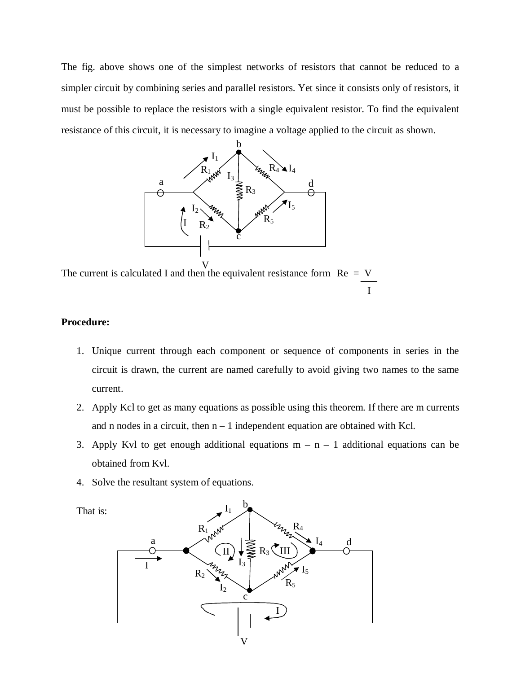The fig. above shows one of the simplest networks of resistors that cannot be reduced to a simpler circuit by combining series and parallel resistors. Yet since it consists only of resistors, it must be possible to replace the resistors with a single equivalent resistor. To find the equivalent resistance of this circuit, it is necessary to imagine a voltage applied to the circuit as shown.



The current is calculated I and then the equivalent resistance form  $Re = V$ I

# **Procedure:**

- 1. Unique current through each component or sequence of components in series in the circuit is drawn, the current are named carefully to avoid giving two names to the same current.
- 2. Apply Kcl to get as many equations as possible using this theorem. If there are m currents and n nodes in a circuit, then  $n - 1$  independent equation are obtained with Kcl.
- 3. Apply Kvl to get enough additional equations  $m n 1$  additional equations can be obtained from Kvl.
- 4. Solve the resultant system of equations.

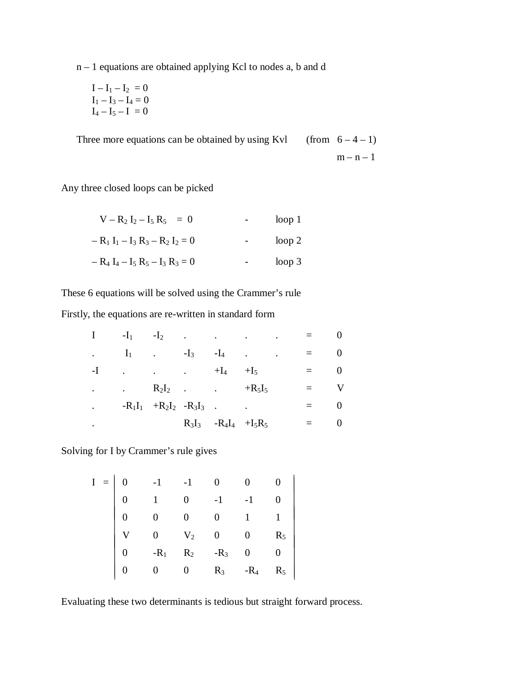n – 1 equations are obtained applying Kcl to nodes a, b and d

$$
I - I_1 - I_2 = 0
$$
  
\n
$$
I_1 - I_3 - I_4 = 0
$$
  
\n
$$
I_4 - I_5 - I = 0
$$

Three more equations can be obtained by using Kvl (from  $6-4-1$ )

 $m - n - 1$ 

Any three closed loops can be picked

| $V - R_2 I_2 - I_5 R_5 = 0$         | loop <sub>1</sub> |
|-------------------------------------|-------------------|
| $- R_1 I_1 - I_3 R_3 - R_2 I_2 = 0$ | loop 2            |
| $- R_4 I_4 - I_5 R_5 - I_3 R_3 = 0$ | loop <sub>3</sub> |

These 6 equations will be solved using the Crammer's rule

Firstly, the equations are re-written in standard form

|                      | $-I_1$ $-I_2$        |                               | $\sim$ $\sim$ | and the contract of the contract of | <b>Contractor</b>                         |  |  |
|----------------------|----------------------|-------------------------------|---------------|-------------------------------------|-------------------------------------------|--|--|
| $\ddot{\phantom{a}}$ | $I_1$ . $-I_3$       |                               |               | $-I_4$                              | $\ddot{\phantom{0}}$<br><b>Contractor</b> |  |  |
| -I                   | $\ddot{\phantom{a}}$ | $\cdot$ $+I_4$                |               |                                     | $+I_5$                                    |  |  |
| $\bullet$            | $R_2I_2$ . $+R_5I_5$ |                               |               |                                     |                                           |  |  |
| $\bullet$            |                      | $-R_1I_1 + R_2I_2 - R_3I_3$ . |               |                                     | $\ddot{\phantom{a}}$                      |  |  |
| ٠                    |                      |                               |               | $R_3I_3 - R_4I_4 + I_5R_5$          |                                           |  |  |

Solving for I by Crammer's rule gives

$$
I = \begin{vmatrix}\n0 & -1 & -1 & 0 & 0 & 0 \\
0 & 1 & 0 & -1 & -1 & 0 \\
0 & 0 & 0 & 0 & 1 & 1 \\
V & 0 & V_2 & 0 & 0 & R_5 \\
0 & -R_1 & R_2 & -R_3 & 0 & 0 \\
0 & 0 & 0 & R_3 & -R_4 & R_5\n\end{vmatrix}
$$

Evaluating these two determinants is tedious but straight forward process.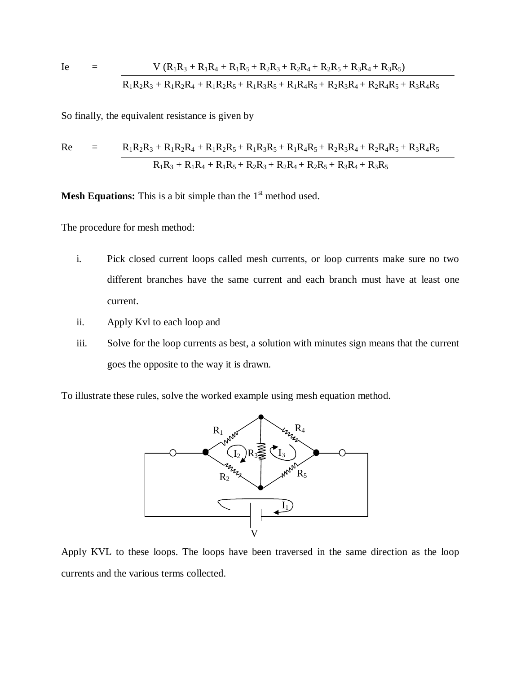$$
Ie = V (R1R3 + R1R4 + R1R5 + R2R3 + R2R4 + R2R5 + R3R4 + R3R5)
$$
  
\nR<sub>1</sub>R<sub>2</sub>R<sub>3</sub> + R<sub>1</sub>R<sub>2</sub>R<sub>4</sub> + R<sub>1</sub>R<sub>2</sub>R<sub>5</sub> + R<sub>1</sub>R<sub>3</sub>R<sub>5</sub> + R<sub>1</sub>R<sub>4</sub>R<sub>5</sub> + R<sub>2</sub>R<sub>3</sub>R<sub>4</sub> + R<sub>2</sub>R<sub>4</sub>R<sub>5</sub> + R<sub>3</sub>R<sub>4</sub>R<sub>5</sub>

So finally, the equivalent resistance is given by

Re = 
$$
\frac{R_1R_2R_3 + R_1R_2R_4 + R_1R_2R_5 + R_1R_3R_5 + R_1R_4R_5 + R_2R_3R_4 + R_2R_4R_5 + R_3R_4R_5}{R_1R_3 + R_1R_4 + R_1R_5 + R_2R_3 + R_2R_4 + R_2R_5 + R_3R_4 + R_3R_5}
$$

**Mesh Equations:** This is a bit simple than the  $1<sup>st</sup>$  method used.

The procedure for mesh method:

- i. Pick closed current loops called mesh currents, or loop currents make sure no two different branches have the same current and each branch must have at least one current.
- ii. Apply Kvl to each loop and
- iii. Solve for the loop currents as best, a solution with minutes sign means that the current goes the opposite to the way it is drawn.

To illustrate these rules, solve the worked example using mesh equation method.



Apply KVL to these loops. The loops have been traversed in the same direction as the loop currents and the various terms collected.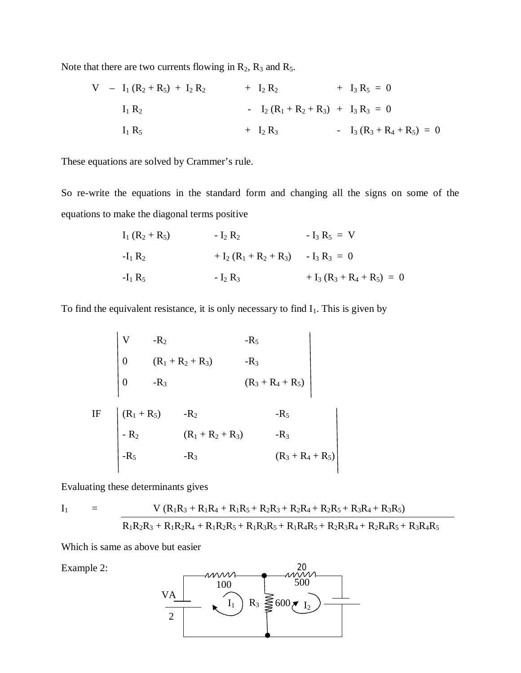Note that there are two currents flowing in  $R_2$ ,  $R_3$  and  $R_5$ .

$$
V - I_1 (R_2 + R_5) + I_2 R_2 + I_2 R_2 + I_3 R_5 = 0
$$
  
\n
$$
I_1 R_2 - I_2 (R_1 + R_2 + R_3) + I_3 R_3 = 0
$$
  
\n
$$
I_1 R_5 + I_2 R_3 - I_3 (R_3 + R_4 + R_5) = 0
$$

These equations are solved by Crammer's rule.

So re-write the equations in the standard form and changing all the signs on some of the equations to make the diagonal terms positive

| $I_1 (R_2 + R_5)$ | - $I_2 R_2$               | - $I_3 R_5 = V$               |
|-------------------|---------------------------|-------------------------------|
| $-I_1 R_2$        | + $I_2 (R_1 + R_2 + R_3)$ | - $I_3 R_3 = 0$               |
| $-I_1 R_5$        | - $I_2 R_3$               | + $I_3 (R_3 + R_4 + R_5) = 0$ |

To find the equivalent resistance, it is only necessary to find  $I_1$ . This is given by

$$
\begin{vmatrix}\nV & -R_2 & -R_5 \\
0 & (R_1 + R_2 + R_3) & -R_3 \\
0 & -R_3 & (R_3 + R_4 + R_5)\n\end{vmatrix}
$$
\n
$$
IF \begin{vmatrix}\n(R_1 + R_5) & -R_2 & -R_5 \\
-R_2 & (R_1 + R_2 + R_3) & -R_3 \\
-R_5 & -R_3 & (R_3 + R_4 + R_5)\n\end{vmatrix}
$$

Evaluating these determinants gives

$$
I_1 = V (R_1R_3 + R_1R_4 + R_1R_5 + R_2R_3 + R_2R_4 + R_3R_5 + R_3R_4 + R_3R_5)
$$
  

$$
R_1R_2R_3 + R_1R_2R_4 + R_1R_2R_5 + R_1R_3R_5 + R_1R_4R_5 + R_2R_3R_4 + R_2R_4R_5 + R_3R_4R_5
$$

Which is same as above but easier

Example 2:

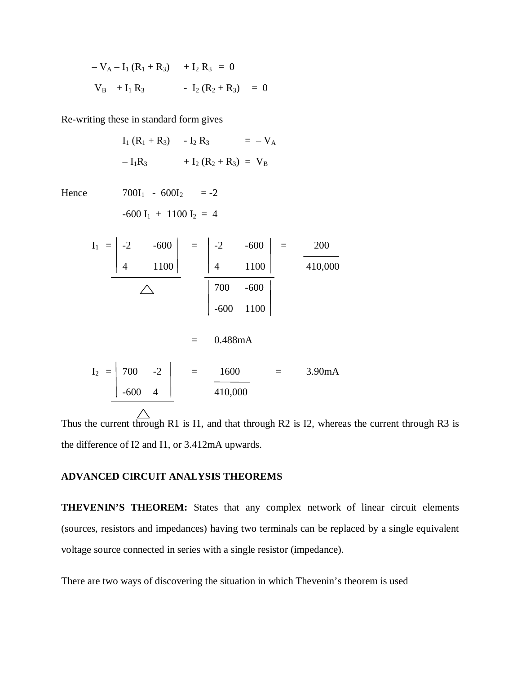$$
-V_{A} - I_{1} (R_{1} + R_{3}) + I_{2} R_{3} = 0
$$
  

$$
V_{B} + I_{1} R_{3} - I_{2} (R_{2} + R_{3}) = 0
$$

Re-writing these in standard form gives

|       |  |                                                     |                                      | $I_1 (R_1 + R_3) - I_2 R_3 = -V_A$ |                                                                                                                                                                                                                           |
|-------|--|-----------------------------------------------------|--------------------------------------|------------------------------------|---------------------------------------------------------------------------------------------------------------------------------------------------------------------------------------------------------------------------|
|       |  |                                                     | $-I_1R_3$ + $I_2(R_2 + R_3)$ = $V_B$ |                                    |                                                                                                                                                                                                                           |
| Hence |  | $700I_1 - 600I_2 = -2$<br>$-600 I_1 + 1100 I_2 = 4$ |                                      |                                    |                                                                                                                                                                                                                           |
|       |  |                                                     |                                      |                                    |                                                                                                                                                                                                                           |
|       |  |                                                     |                                      |                                    | $I_1 = \begin{vmatrix} -2 & -600 \\ 4 & 1100 \end{vmatrix} = \begin{vmatrix} -2 & -600 \\ 4 & 1100 \end{vmatrix} = \frac{200}{410,000}$<br>$\overline{\bigcirc}$ $\begin{array}{c} 700 & -600 \\ -600 & 1100 \end{array}$ |
|       |  |                                                     |                                      |                                    |                                                                                                                                                                                                                           |
|       |  |                                                     |                                      |                                    |                                                                                                                                                                                                                           |
|       |  |                                                     | $= 0.488 \text{mA}$                  |                                    |                                                                                                                                                                                                                           |
|       |  |                                                     |                                      |                                    | $I_2 = \begin{vmatrix} 700 & -2 \\ -600 & 4 \end{vmatrix} = \frac{1600}{410,000} = 3.90 \text{ mA}$                                                                                                                       |
|       |  |                                                     |                                      |                                    |                                                                                                                                                                                                                           |
|       |  |                                                     |                                      |                                    | Thus the current through R1 is I1 and that through R2 is I2 where                                                                                                                                                         |

Thus the current through R1 is I1, and that through R2 is I2, whereas the current through R3 is the difference of I2 and I1, or 3.412mA upwards.

# **ADVANCED CIRCUIT ANALYSIS THEOREMS**

**THEVENIN'S THEOREM:** States that any complex network of linear circuit elements (sources, resistors and impedances) having two terminals can be replaced by a single equivalent voltage source connected in series with a single resistor (impedance).

There are two ways of discovering the situation in which Thevenin's theorem is used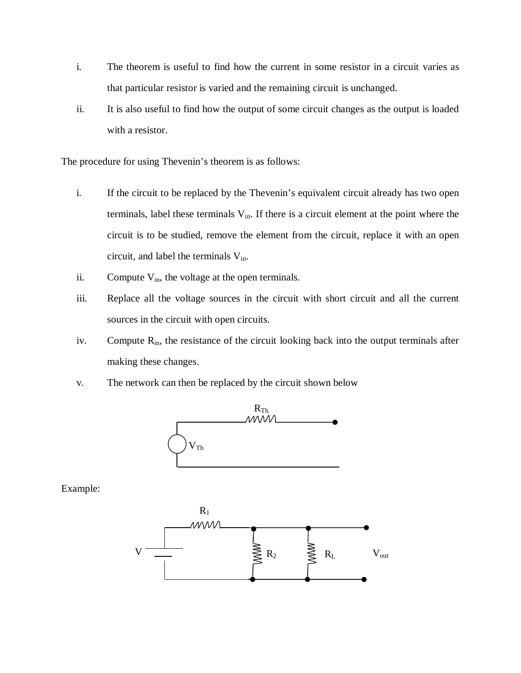- i. The theorem is useful to find how the current in some resistor in a circuit varies as that particular resistor is varied and the remaining circuit is unchanged.
- ii. It is also useful to find how the output of some circuit changes as the output is loaded with a resistor.

The procedure for using Thevenin's theorem is as follows:

- i. If the circuit to be replaced by the Thevenin's equivalent circuit already has two open terminals, label these terminals  $V_{in}$ . If there is a circuit element at the point where the circuit is to be studied, remove the element from the circuit, replace it with an open circuit, and label the terminals  $V_{in}$ .
- ii. Compute  $V_{in}$ , the voltage at the open terminals.
- iii. Replace all the voltage sources in the circuit with short circuit and all the current sources in the circuit with open circuits.
- iv. Compute  $R_{in}$ , the resistance of the circuit looking back into the output terminals after making these changes.
- v. The network can then be replaced by the circuit shown below



Example:

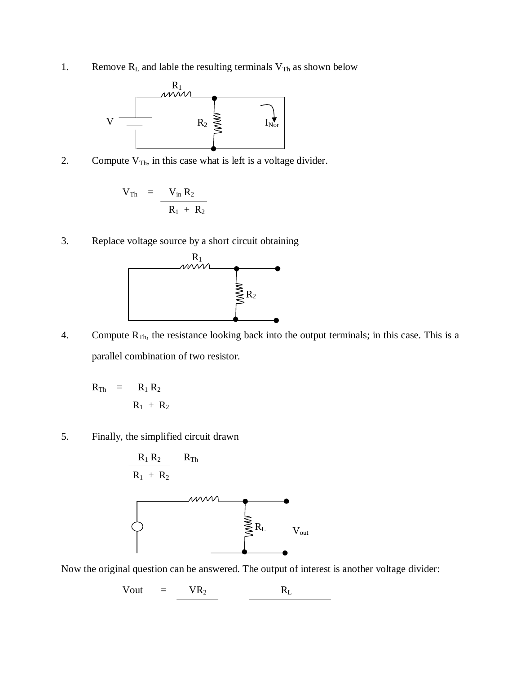1. Remove  $R_L$  and lable the resulting terminals  $V_{Th}$  as shown below



2. Compute  $V_{Th}$ , in this case what is left is a voltage divider.

$$
V_{Th} = \frac{V_{in} R_2}{R_1 + R_2}
$$

3. Replace voltage source by a short circuit obtaining



4. Compute  $R_{Th}$ , the resistance looking back into the output terminals; in this case. This is a parallel combination of two resistor.

$$
R_{\text{Th}} = \frac{R_1 R_2}{R_1 + R_2}
$$

5. Finally, the simplified circuit drawn



Now the original question can be answered. The output of interest is another voltage divider:

$$
Vout = VR_2 \t\t R_L
$$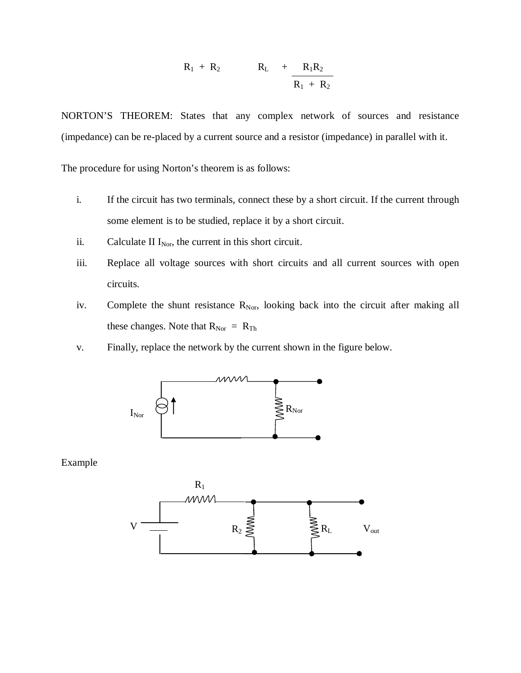$$
R_1 + R_2 \qquad R_L + \frac{R_1R_2}{R_1 + R_2}
$$

NORTON'S THEOREM: States that any complex network of sources and resistance (impedance) can be re-placed by a current source and a resistor (impedance) in parallel with it.

The procedure for using Norton's theorem is as follows:

- i. If the circuit has two terminals, connect these by a short circuit. If the current through some element is to be studied, replace it by a short circuit.
- ii. Calculate II  $I_{Nor}$ , the current in this short circuit.
- iii. Replace all voltage sources with short circuits and all current sources with open circuits.
- iv. Complete the shunt resistance  $R_{\text{Nor}}$ , looking back into the circuit after making all these changes. Note that  $R_{Nor} = R_{Th}$
- v. Finally, replace the network by the current shown in the figure below.



Example

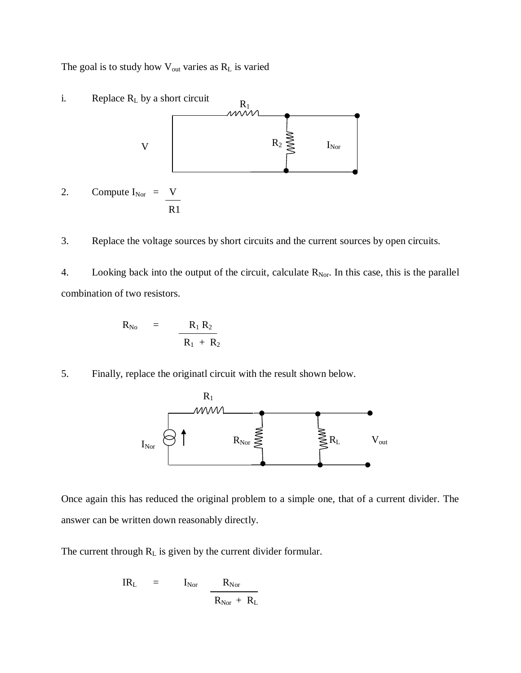The goal is to study how  $V_{\text{out}}$  varies as  $R_L$  is varied



3. Replace the voltage sources by short circuits and the current sources by open circuits.

4. Looking back into the output of the circuit, calculate  $R_{Nor}$ . In this case, this is the parallel combination of two resistors.

$$
R_{\rm No} = \frac{R_1 R_2}{R_1 + R_2}
$$

5. Finally, replace the originatl circuit with the result shown below.



Once again this has reduced the original problem to a simple one, that of a current divider. The answer can be written down reasonably directly.

The current through  $R_L$  is given by the current divider formular.

$$
IR_{L} = I_{Nor} \frac{R_{Nor}}{R_{Nor} + R_{L}}
$$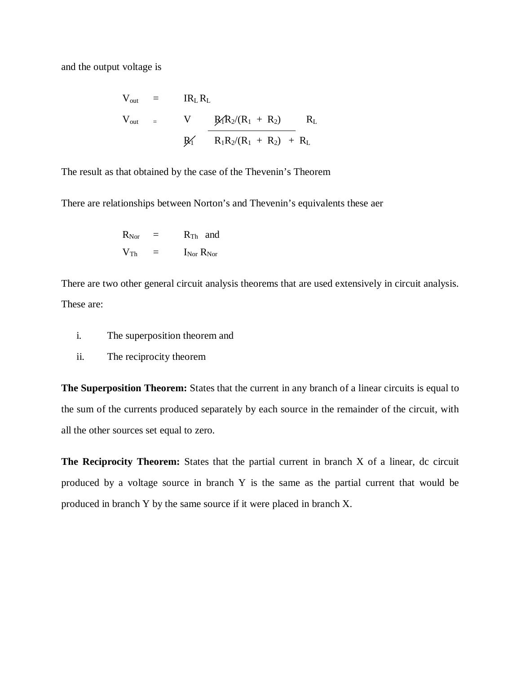and the output voltage is

$$
V_{out} = IR_{L}R_{L}
$$
  
\n
$$
V_{out} = V \frac{R_{1}R_{2}/(R_{1} + R_{2})}{R_{1}R_{2}/(R_{1} + R_{2})} R_{L}
$$
  
\n
$$
R_{1}R_{2}/(R_{1} + R_{2}) + R_{L}
$$

The result as that obtained by the case of the Thevenin's Theorem

There are relationships between Norton's and Thevenin's equivalents these aer

$$
\begin{array}{ccc} R_{Nor} & = & R_{Th} \;\; \text{and} \\ V_{Th} & = & I_{Nor} \; R_{Nor} \end{array}
$$

There are two other general circuit analysis theorems that are used extensively in circuit analysis. These are:

- i. The superposition theorem and
- ii. The reciprocity theorem

**The Superposition Theorem:** States that the current in any branch of a linear circuits is equal to the sum of the currents produced separately by each source in the remainder of the circuit, with all the other sources set equal to zero.

**The Reciprocity Theorem:** States that the partial current in branch X of a linear, dc circuit produced by a voltage source in branch Y is the same as the partial current that would be produced in branch Y by the same source if it were placed in branch X.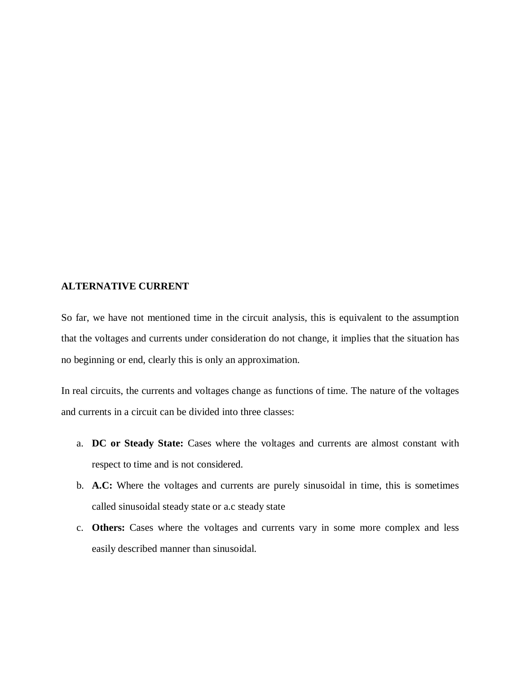### **ALTERNATIVE CURRENT**

So far, we have not mentioned time in the circuit analysis, this is equivalent to the assumption that the voltages and currents under consideration do not change, it implies that the situation has no beginning or end, clearly this is only an approximation.

In real circuits, the currents and voltages change as functions of time. The nature of the voltages and currents in a circuit can be divided into three classes:

- a. **DC or Steady State:** Cases where the voltages and currents are almost constant with respect to time and is not considered.
- b. **A.C:** Where the voltages and currents are purely sinusoidal in time, this is sometimes called sinusoidal steady state or a.c steady state
- c. **Others:** Cases where the voltages and currents vary in some more complex and less easily described manner than sinusoidal.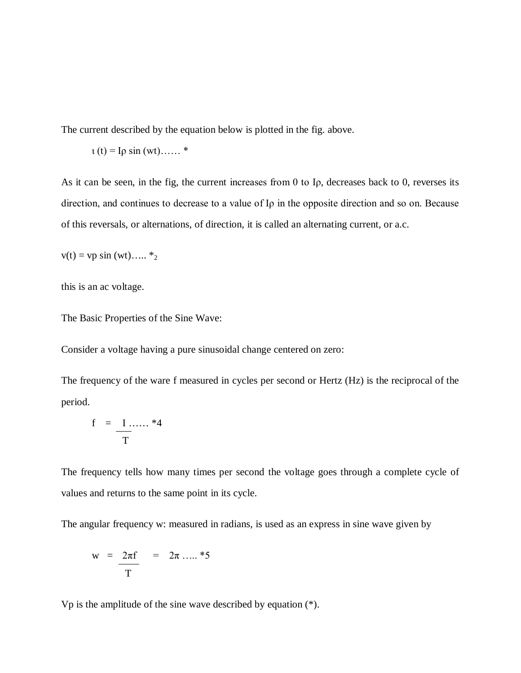The current described by the equation below is plotted in the fig. above.

$$
u(t) = \text{I}\rho\sin{(wt)}\dots.*
$$

As it can be seen, in the fig, the current increases from 0 to Iρ, decreases back to 0, reverses its direction, and continues to decrease to a value of Iρ in the opposite direction and so on. Because of this reversals, or alternations, of direction, it is called an alternating current, or a.c.

$$
v(t) = vp \sin{(wt)...} *_{2}
$$

this is an ac voltage.

The Basic Properties of the Sine Wave:

Consider a voltage having a pure sinusoidal change centered on zero:

The frequency of the ware f measured in cycles per second or Hertz (Hz) is the reciprocal of the period.

$$
f = \frac{I \dots 4}{T}
$$

The frequency tells how many times per second the voltage goes through a complete cycle of values and returns to the same point in its cycle.

The angular frequency w: measured in radians, is used as an express in sine wave given by

$$
w = \frac{2\pi f}{T} = 2\pi \dots . 85
$$

Vp is the amplitude of the sine wave described by equation (\*).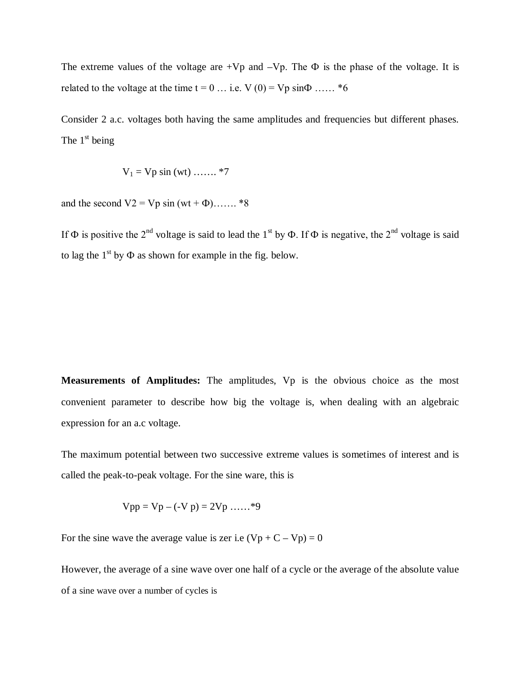The extreme values of the voltage are  $+Vp$  and  $-Vp$ . The  $\Phi$  is the phase of the voltage. It is related to the voltage at the time  $t = 0$  ... i.e.  $V(0) = Vp \sin{\Phi}$  ...... \*6

Consider 2 a.c. voltages both having the same amplitudes and frequencies but different phases. The  $1<sup>st</sup>$  being

$$
V_1 = Vp \sin(wt) \dots \dots *7
$$

and the second  $V2 = Vp \sin{(wt + \Phi)}$ ……. \*8

If  $\Phi$  is positive the 2<sup>nd</sup> voltage is said to lead the 1<sup>st</sup> by  $\Phi$ . If  $\Phi$  is negative, the 2<sup>nd</sup> voltage is said to lag the  $1<sup>st</sup>$  by  $\Phi$  as shown for example in the fig. below.

**Measurements of Amplitudes:** The amplitudes, Vp is the obvious choice as the most convenient parameter to describe how big the voltage is, when dealing with an algebraic expression for an a.c voltage.

The maximum potential between two successive extreme values is sometimes of interest and is called the peak-to-peak voltage. For the sine ware, this is

$$
Vpp = Vp - (-Vp) = 2Vp \dots . . . *9
$$

For the sine wave the average value is zer i.e  $(Vp + C - Vp) = 0$ 

However, the average of a sine wave over one half of a cycle or the average of the absolute value of a sine wave over a number of cycles is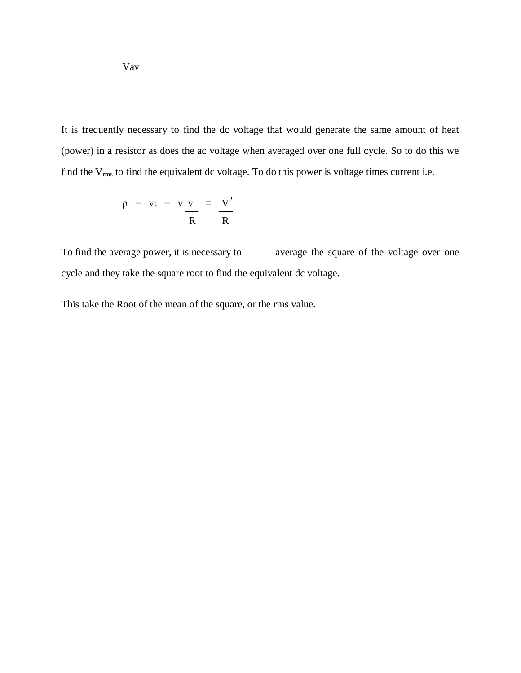It is frequently necessary to find the dc voltage that would generate the same amount of heat (power) in a resistor as does the ac voltage when averaged over one full cycle. So to do this we find the  $V_{rms}$  to find the equivalent dc voltage. To do this power is voltage times current i.e.

$$
\rho = v_1 = v \frac{v}{R} = \frac{V^2}{R}
$$

To find the average power, it is necessary to average the square of the voltage over one cycle and they take the square root to find the equivalent dc voltage.

This take the Root of the mean of the square, or the rms value.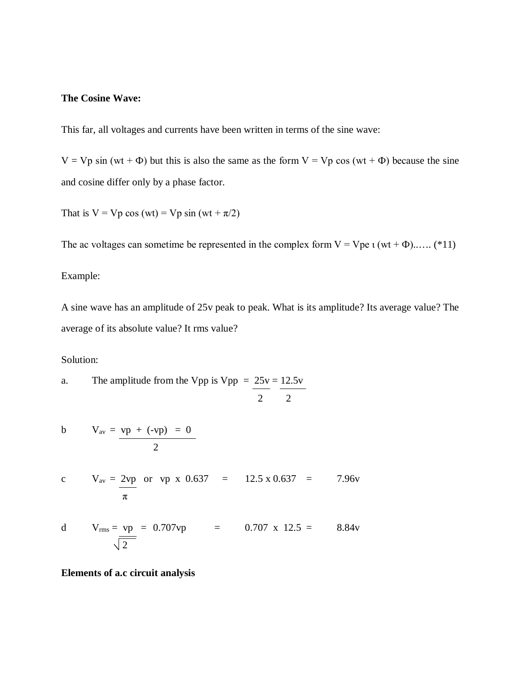# **The Cosine Wave:**

This far, all voltages and currents have been written in terms of the sine wave:

 $V = Vp \sin (wt + \Phi)$  but this is also the same as the form  $V = Vp \cos (wt + \Phi)$  because the sine and cosine differ only by a phase factor.

That is  $V = Vp \cos{(wt)} = Vp \sin{(wt + \pi/2)}$ 

The ac voltages can sometime be represented in the complex form  $V = Vpe \iota (wt + \Phi)$ ...... (\*11)

# Example:

A sine wave has an amplitude of 25v peak to peak. What is its amplitude? Its average value? The average of its absolute value? It rms value?

### Solution:

a. The amplitude from the Vpp is Vpp = 
$$
\frac{25v}{2} = \frac{12.5v}{2}
$$

$$
V_{\text{av}} = \frac{vp + (-vp) = 0}{2}
$$

c 
$$
V_{av} = 2vp
$$
 or vp x 0.637 = 12.5 x 0.637 = 7.96v  
 $\pi$ 

d 
$$
V_{\text{rms}} = v_p = 0.707vp = 0.707 \times 12.5 = 8.84v
$$

**Elements of a.c circuit analysis**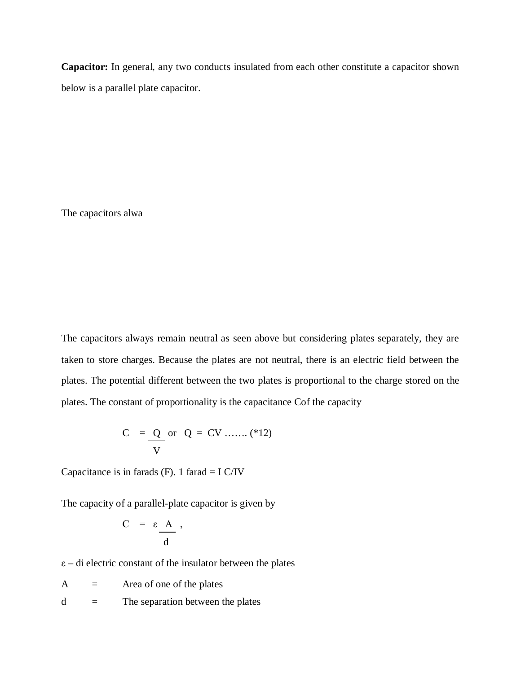**Capacitor:** In general, any two conducts insulated from each other constitute a capacitor shown below is a parallel plate capacitor.

The capacitors alwa

The capacitors always remain neutral as seen above but considering plates separately, they are taken to store charges. Because the plates are not neutral, there is an electric field between the plates. The potential different between the two plates is proportional to the charge stored on the plates. The constant of proportionality is the capacitance Cof the capacity

$$
C = Q \text{ or } Q = CV \dots ( *12)
$$

Capacitance is in farads  $(F)$ . 1 farad = I C/IV

The capacity of a parallel-plate capacitor is given by

$$
C = \varepsilon \frac{A}{d} \,,
$$

 $\varepsilon$  – di electric constant of the insulator between the plates

 $A = Area of one of the plates$ 

 $d =$  The separation between the plates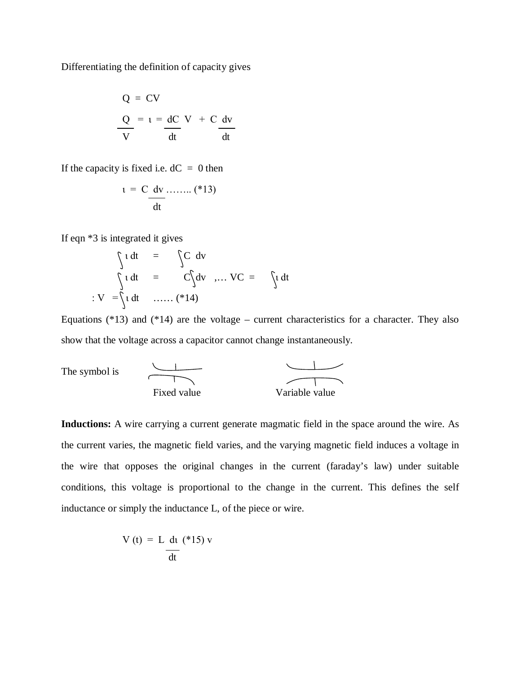Differentiating the definition of capacity gives

$$
Q = CV
$$
  

$$
Q = t = dC V + C dv
$$
  

$$
V = dt
$$

If the capacity is fixed i.e.  $dC = 0$  then

$$
t = C \frac{dv}{dt}
$$
........ (\*) $(*13)$ 

If eqn \*3 is integrated it gives

$$
\int u \, dt = \int C \, dv
$$
  
\n
$$
\int u \, dt = C \int dv \dots VC = \int u \, dt
$$
  
\n
$$
: V = \int u \, dt \dots \dots \quad (*14)
$$

Equations  $(*13)$  and  $(*14)$  are the voltage – current characteristics for a character. They also show that the voltage across a capacitor cannot change instantaneously.

The symbol is 
$$
\frac{1}{1}
$$
 Fixed value\n\n $\frac{1}{1}$  Variable value

**Inductions:** A wire carrying a current generate magmatic field in the space around the wire. As the current varies, the magnetic field varies, and the varying magnetic field induces a voltage in the wire that opposes the original changes in the current (faraday's law) under suitable conditions, this voltage is proportional to the change in the current. This defines the self inductance or simply the inductance L, of the piece or wire.

$$
V(t) = L \frac{dt}{dt} \left( *15 \right) v
$$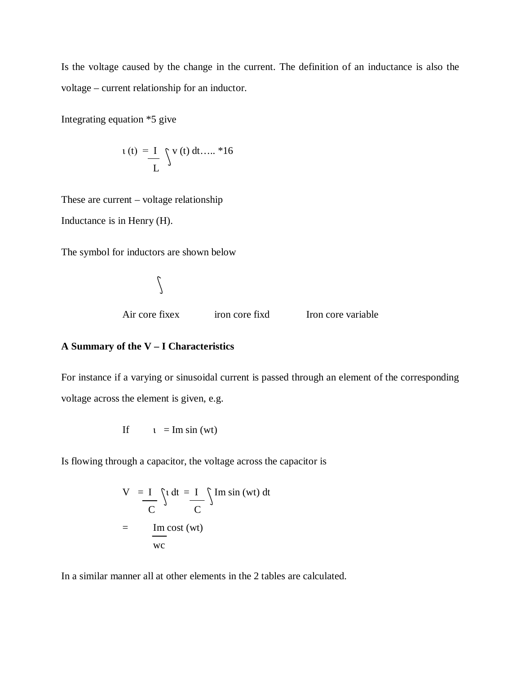Is the voltage caused by the change in the current. The definition of an inductance is also the voltage – current relationship for an inductor.

Integrating equation \*5 give

$$
u(t) = I \quad \int v(t) \, dt \dots .*16
$$

These are current – voltage relationship

Inductance is in Henry (H).

The symbol for inductors are shown below

 $\int$ 

Air core fixex iron core fixed Iron core variable

## **A Summary of the V – I Characteristics**

For instance if a varying or sinusoidal current is passed through an element of the corresponding voltage across the element is given, e.g.

If 
$$
t = \text{Im} \sin(wt)
$$

Is flowing through a capacitor, the voltage across the capacitor is

$$
V = I \int_{C} \int t \, dt = I \int_{C} \int Im \sin (wt) \, dt
$$

$$
= \frac{Im \, cost}{wc}
$$

In a similar manner all at other elements in the 2 tables are calculated.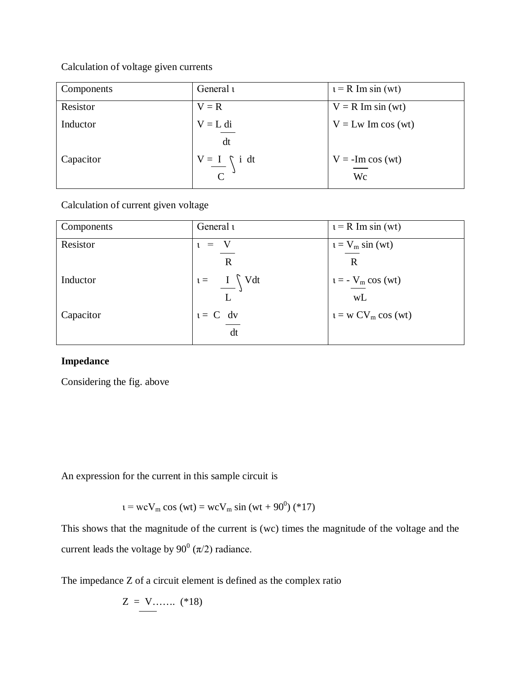# Calculation of voltage given currents

| Components | General 1                                  | $t = R$ Im sin (wt)      |
|------------|--------------------------------------------|--------------------------|
| Resistor   | $V = R$                                    | $V = R Im sin (wt)$      |
| Inductor   | $V = L di$<br>dt                           | $V = Lw$ Im cos (wt)     |
| Capacitor  | $V = I$ i dt<br>$\mathbf{C}^{\mathcal{O}}$ | $V = -Im cos (wt)$<br>Wc |

Calculation of current given voltage

| Components | General 1                    | $t = R$ Im sin (wt)  |
|------------|------------------------------|----------------------|
| Resistor   | $=$<br>ι                     | $t = V_m \sin(wt)$   |
|            | $\mathbf R$                  | $\mathbf R$          |
| Inductor   | $i = \frac{I}{I} \text{Vdt}$ | $t = -V_m \cos(wt)$  |
|            |                              | wL                   |
| Capacitor  | $t = C$ dv                   | $t = w CV_m cos(wt)$ |
|            | dt                           |                      |

# **Impedance**

Considering the fig. above

An expression for the current in this sample circuit is

$$
t = wcV_m \cos{(wt)} = wcV_m \sin{(wt + 90^0)} (*)17)
$$

This shows that the magnitude of the current is (wc) times the magnitude of the voltage and the current leads the voltage by  $90^0$  ( $\pi/2$ ) radiance.

The impedance Z of a circuit element is defined as the complex ratio

$$
Z = V \dots \dots \ ( *18)
$$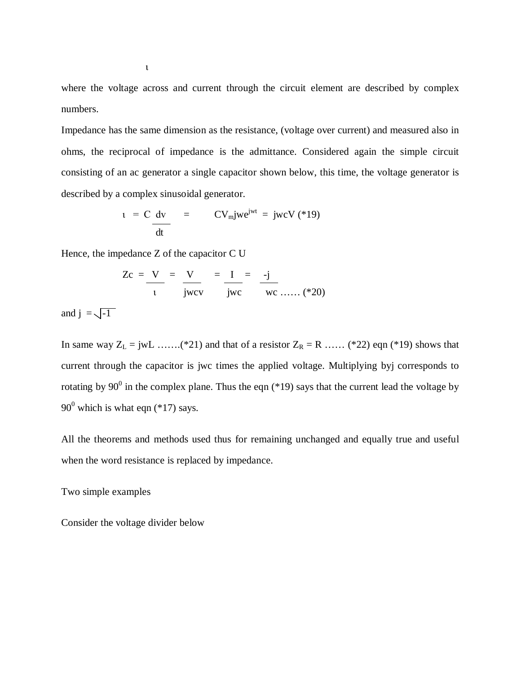where the voltage across and current through the circuit element are described by complex numbers.

Impedance has the same dimension as the resistance, (voltage over current) and measured also in ohms, the reciprocal of impedance is the admittance. Considered again the simple circuit consisting of an ac generator a single capacitor shown below, this time, the voltage generator is described by a complex sinusoidal generator.

$$
t = C dv \frac{dv}{dt} = C V_m j w e^{jwt} = jw c V (*)
$$

Hence, the impedance Z of the capacitor C U

$$
Zc = \frac{V}{t} = \frac{V}{jwc} = \frac{I}{jwc} = \frac{-j}{wc}
$$

and  $j = \sqrt{-1}$ 

In same way  $Z_L = jwL$  …….(\*21) and that of a resistor  $Z_R = R$  …… (\*22) eqn (\*19) shows that current through the capacitor is jwc times the applied voltage. Multiplying byj corresponds to rotating by 90<sup>0</sup> in the complex plane. Thus the eqn (\*19) says that the current lead the voltage by  $90^0$  which is what eqn (\*17) says.

All the theorems and methods used thus for remaining unchanged and equally true and useful when the word resistance is replaced by impedance.

Two simple examples

Consider the voltage divider below

ι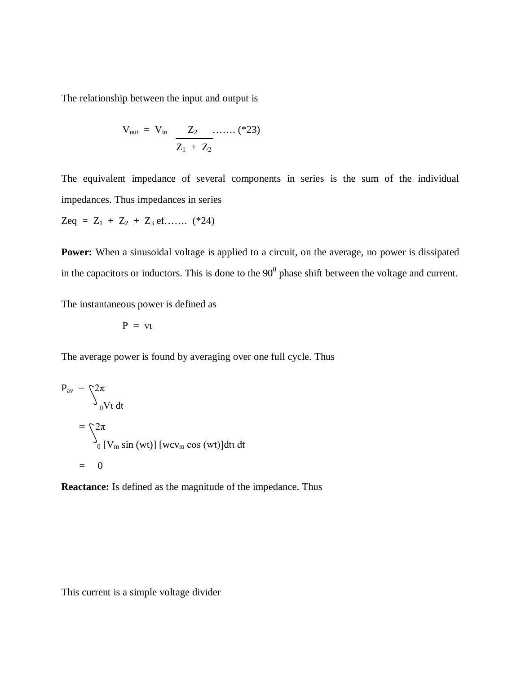The relationship between the input and output is

$$
V_{out} = V_{in} \frac{Z_2}{Z_1 + Z_2} \dots \dots (23)
$$

The equivalent impedance of several components in series is the sum of the individual impedances. Thus impedances in series

 $Zeq = Z_1 + Z_2 + Z_3$  ef....... (\*24)

**Power:** When a sinusoidal voltage is applied to a circuit, on the average, no power is dissipated in the capacitors or inductors. This is done to the  $90^0$  phase shift between the voltage and current.

The instantaneous power is defined as

$$
P = v_1
$$

The average power is found by averaging over one full cycle. Thus

$$
P_{av} = \n\begin{cases} 2\pi \\ \n\frac{1}{2\pi} \n\end{cases}
$$
  
= 
$$
\begin{cases} 2\pi \\ \n\frac{1}{2\pi} \n\end{cases}
$$
  
= 0

**Reactance:** Is defined as the magnitude of the impedance. Thus

This current is a simple voltage divider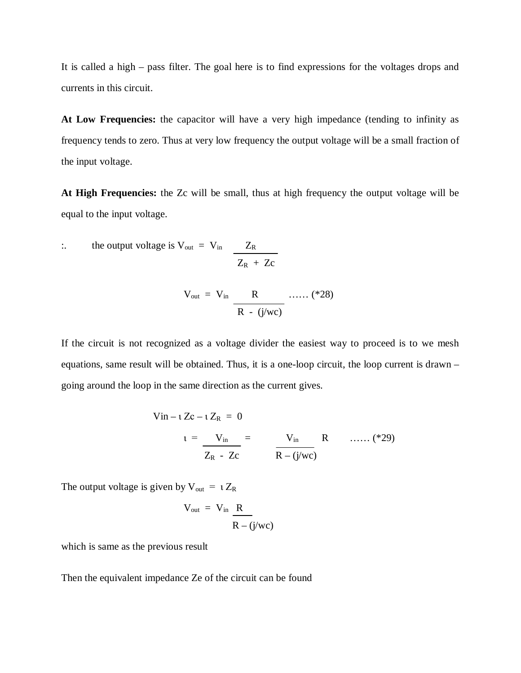It is called a high – pass filter. The goal here is to find expressions for the voltages drops and currents in this circuit.

**At Low Frequencies:** the capacitor will have a very high impedance (tending to infinity as frequency tends to zero. Thus at very low frequency the output voltage will be a small fraction of the input voltage.

**At High Frequencies:** the Zc will be small, thus at high frequency the output voltage will be equal to the input voltage.

$$
\therefore \qquad \text{the output voltage is } V_{\text{out}} = V_{\text{in}} \qquad \frac{Z_{\text{R}}}{Z_{\text{R}} + Z_{\text{C}}}
$$

$$
V_{out} = V_{in} \frac{R}{R - (j/wc)} \dots (28)
$$

If the circuit is not recognized as a voltage divider the easiest way to proceed is to we mesh equations, same result will be obtained. Thus, it is a one-loop circuit, the loop current is drawn – going around the loop in the same direction as the current gives.

$$
V \text{in} - \iota Zc - \iota Z_R = 0
$$
  
\n
$$
\iota = \frac{V_{\text{in}}}{Z_R - Zc} = \frac{V_{\text{in}}}{R - (j/\text{wc})} R \quad \dots (29)
$$

The output voltage is given by  $V_{out} = i Z_R$ 

$$
V_{out} = V_{in} \frac{R}{R - (j/wc)}
$$

which is same as the previous result

Then the equivalent impedance Ze of the circuit can be found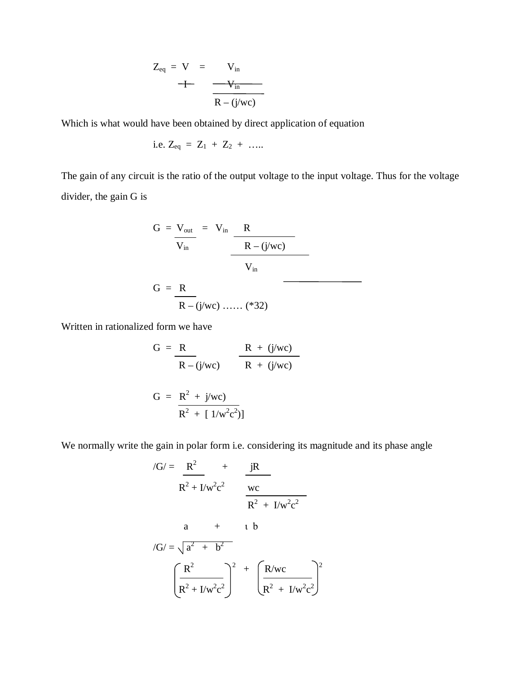$$
Z_{eq} = V = V_{in}
$$
  
+ 
$$
V_{in}
$$
  

$$
R - (j/wc)
$$

Which is what would have been obtained by direct application of equation

i.e. 
$$
Z_{eq} = Z_1 + Z_2 + \dots
$$

The gain of any circuit is the ratio of the output voltage to the input voltage. Thus for the voltage divider, the gain G is

$$
G = \frac{V_{out}}{V_{in}} = V_{in} \frac{R}{R - (j/wc)}
$$
  

$$
G = \frac{R}{R - (j/wc) \dots (32)}
$$

Written in rationalized form we have

G = 
$$
\frac{R}{R - (j/wc)}
$$
  $\frac{R + (j/wc)}{R + (j/wc)}$   
G =  $\frac{R^2 + j/wc}{R^2 + [1/w^2c^2]}$ 

We normally write the gain in polar form i.e. considering its magnitude and its phase angle

$$
/G/ = \frac{R^2}{R^2 + I/w^2c^2} + \frac{jR}{wc}
$$
  
\n
$$
R^2 + I/w^2c^2
$$
  
\n
$$
a + t
$$
  
\n
$$
/G/ = \sqrt{a^2 + b^2}
$$
  
\n
$$
\left(\frac{R^2}{R^2 + I/w^2c^2}\right)^2 + \left(\frac{R/wc}{R^2 + I/w^2c^2}\right)^2
$$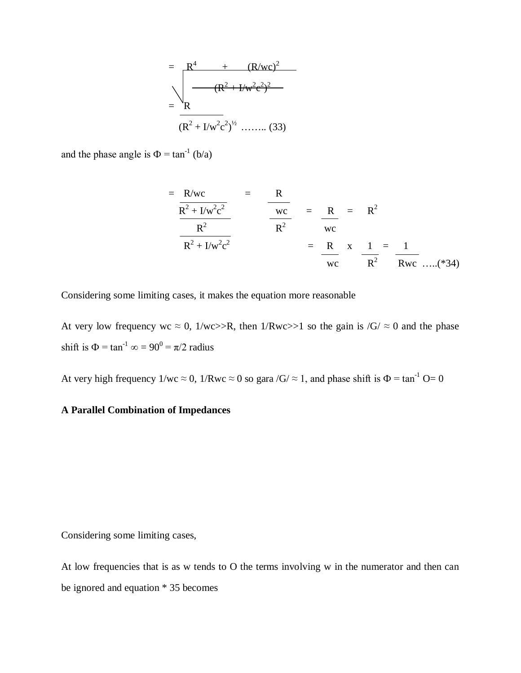$$
= \frac{R^{4} + (R/wc)^{2}}{(R^{2} + I/w^{2}c^{2})^{2}}
$$

$$
= \frac{R}{(R^{2} + I/w^{2}c^{2})^{1/2} \dots (33)}
$$

and the phase angle is  $\Phi = \tan^{-1} (b/a)$ 

$$
= \frac{R/wc}{R^{2} + I/w^{2}c^{2}}
$$
  
\n
$$
= \frac{R}{R^{2}}
$$
  
\n
$$
= \frac{R}{R^{2}}
$$
  
\n
$$
= \frac{R}{wc}
$$
  
\n
$$
= \frac{R}{wc} \times \frac{1}{R^{2}} = \frac{1}{Rwc}
$$
  
\n
$$
= \frac{R}{wc} \times \frac{1}{R^{2}} = \frac{1}{Rwc}
$$
 ......(\*34)

Considering some limiting cases, it makes the equation more reasonable

At very low frequency wc  $\approx 0$ , 1/wc>>R, then 1/Rwc>>1 so the gain is /G/  $\approx 0$  and the phase shift is  $\Phi = \tan^{-1} \infty = 90^0 = \pi/2$  radius

At very high frequency  $1/wc \approx 0$ ,  $1/Rwc \approx 0$  so gara /G/  $\approx 1$ , and phase shift is  $\Phi = \tan^{-1} \Theta = 0$ 

# **A Parallel Combination of Impedances**

Considering some limiting cases,

At low frequencies that is as w tends to O the terms involving w in the numerator and then can be ignored and equation \* 35 becomes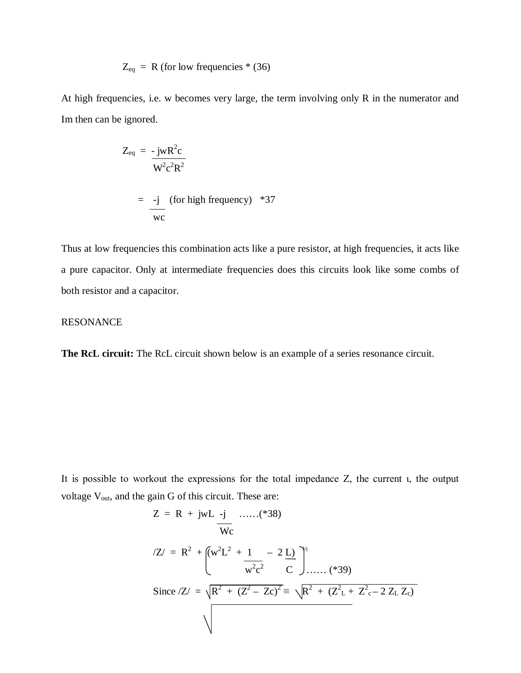$$
Z_{eq} = R
$$
 (for low frequencies \* (36)

At high frequencies, i.e. w becomes very large, the term involving only R in the numerator and Im then can be ignored.

$$
Z_{eq} = -jwR^{2}c
$$
  

$$
W^{2}c^{2}R^{2}
$$
  

$$
= -j \text{ (for high frequency) *37}
$$
  

$$
wc
$$

Thus at low frequencies this combination acts like a pure resistor, at high frequencies, it acts like a pure capacitor. Only at intermediate frequencies does this circuits look like some combs of both resistor and a capacitor.

### RESONANCE

**The RcL circuit:** The RcL circuit shown below is an example of a series resonance circuit.

It is possible to workout the expressions for the total impedance Z, the current ι, the output voltage  $\rm V_{out},$  and the gain  $\rm G$  of this circuit. These are:

$$
Z = R + jwL - j
$$
 .....(\*38)  
\n
$$
Wc
$$
\n
$$
Z = R^{2} + \left( w^{2}L^{2} + \frac{1}{w^{2}c^{2}} - 2L \right)^{2}
$$
\n
$$
Since /Z = \sqrt{R^{2} + (Z^{2} - Zc)^{2}} = \sqrt{R^{2} + (Z^{2}L + Z^{2}c - 2ZL Zc)}
$$
\n
$$
\sqrt{}
$$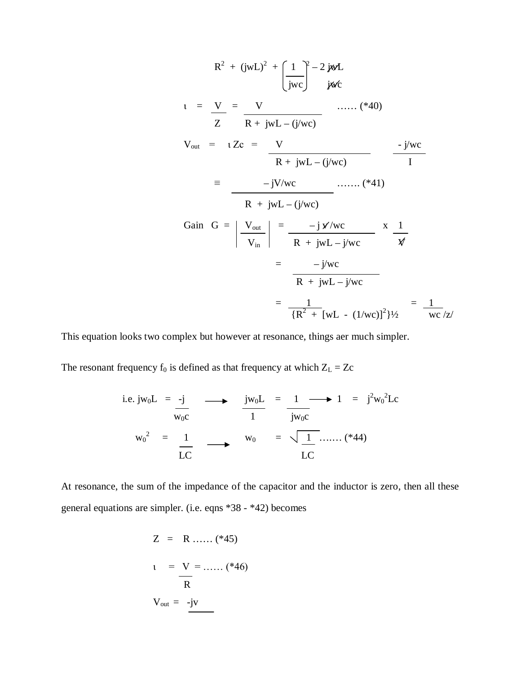$$
R^{2} + (jwL)^{2} + \left(\frac{1}{jwc}\right)^{2} - 2 jwL
$$
\n
$$
u = \frac{V}{Z} = \frac{V}{R + jwL - (j/wc)}
$$
\n
$$
V_{out} = uZc = \frac{V}{R + jwL - (j/wc)}
$$
\n
$$
= \frac{-jV/wc}{R + jwL - (j/wc)}
$$
\n
$$
= \frac{-jV/wc}{R + jwL - (j/wc)}
$$
\n
$$
Gain G = \left|\frac{V_{out}}{V_{in}}\right| = \frac{-j x/wc}{R + jwL - j/wc} \times \frac{1}{\frac{V}{K}} = \frac{-j/wc}{R + jwL - j/wc}
$$
\n
$$
= \frac{-j/wc}{R + jwL - j/wc}
$$
\n
$$
= \frac{1}{\left\{R^{2} + [wL - (1/wc)]^{2}\right\}} = \frac{1}{wc/z}
$$

This equation looks two complex but however at resonance, things aer much simpler.

The resonant frequency  $f_0$  is defined as that frequency at which  $Z_L = Zc$ 

i.e. 
$$
jw_0L = -j
$$
  
\n $w_0c = \frac{1}{LC}$   $\longrightarrow$   $\frac{jw_0L}{1} = \frac{1}{jw_0c} \longrightarrow 1 = j^2w_0^2Lc$   
\n $w_0^2 = \frac{1}{LC}$   $w_0 = \sqrt{\frac{1}{LC}}$  ...... (\*44)

At resonance, the sum of the impedance of the capacitor and the inductor is zero, then all these general equations are simpler. (i.e. eqns \*38 - \*42) becomes

$$
Z = R \dots (*45)
$$
  
\n
$$
1 = V = \dots (*46)
$$
  
\n
$$
V_{out} = -jV
$$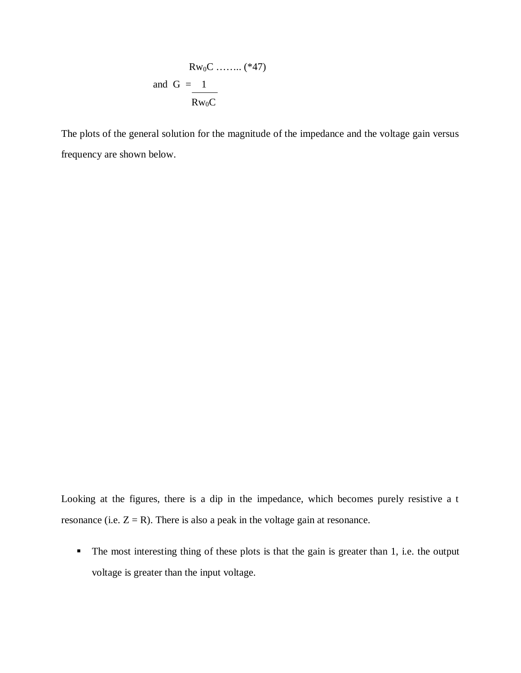$$
Rw_0C \dots \dots \dots (*47)
$$
  
and  $G = 1$   

$$
\frac{Rw_0C}{}
$$

The plots of the general solution for the magnitude of the impedance and the voltage gain versus frequency are shown below.

Looking at the figures, there is a dip in the impedance, which becomes purely resistive a t resonance (i.e.  $Z = R$ ). There is also a peak in the voltage gain at resonance.

The most interesting thing of these plots is that the gain is greater than 1, i.e. the output voltage is greater than the input voltage.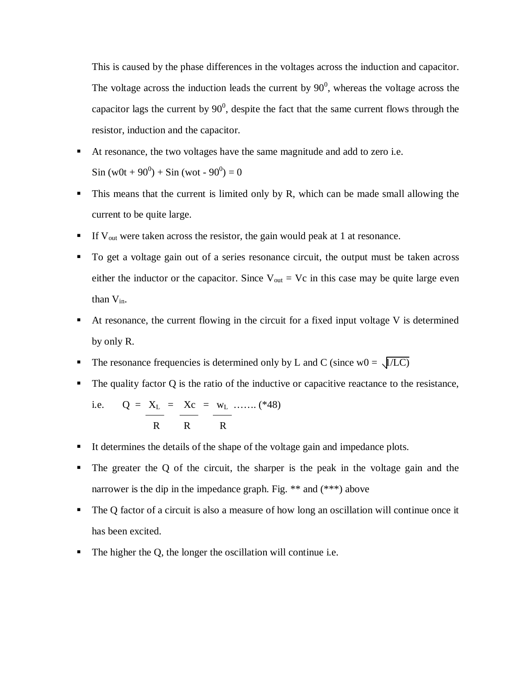This is caused by the phase differences in the voltages across the induction and capacitor. The voltage across the induction leads the current by  $90^0$ , whereas the voltage across the capacitor lags the current by  $90^0$ , despite the fact that the same current flows through the resistor, induction and the capacitor.

At resonance, the two voltages have the same magnitude and add to zero i.e.

 $\sin(w0t + 90^0) + \sin(wot - 90^0) = 0$ 

- This means that the current is limited only by R, which can be made small allowing the current to be quite large.
- If V<sub>out</sub> were taken across the resistor, the gain would peak at 1 at resonance.
- To get a voltage gain out of a series resonance circuit, the output must be taken across either the inductor or the capacitor. Since  $V_{out} = Vc$  in this case may be quite large even than  $V_{in}$ .
- At resonance, the current flowing in the circuit for a fixed input voltage V is determined by only R.
- The resonance frequencies is determined only by L and C (since  $w0 = \sqrt{L}$ )
- $\blacksquare$  The quality factor Q is the ratio of the inductive or capacitive reactance to the resistance,

i.e. 
$$
Q = X_L = X_C = w_L \dots (48)
$$
  
 $R = X_C = W_L \dots (48)$ 

- It determines the details of the shape of the voltage gain and impedance plots.
- The greater the Q of the circuit, the sharper is the peak in the voltage gain and the narrower is the dip in the impedance graph. Fig. \*\* and (\*\*\*) above
- The Q factor of a circuit is also a measure of how long an oscillation will continue once it has been excited.
- The higher the Q, the longer the oscillation will continue i.e.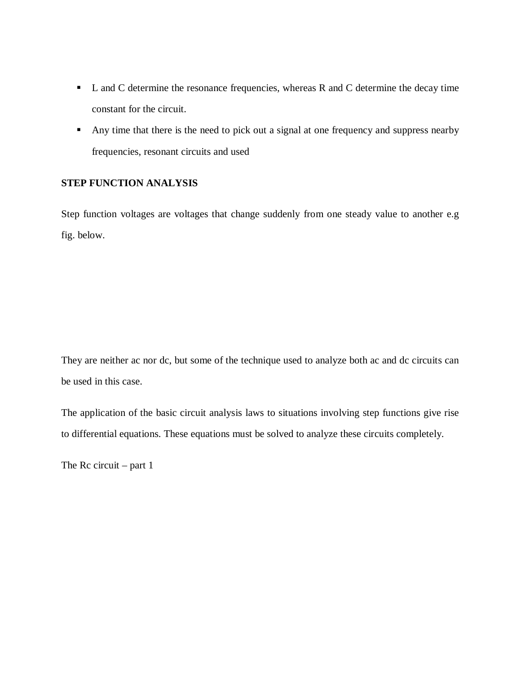- L and C determine the resonance frequencies, whereas R and C determine the decay time constant for the circuit.
- Any time that there is the need to pick out a signal at one frequency and suppress nearby frequencies, resonant circuits and used

## **STEP FUNCTION ANALYSIS**

Step function voltages are voltages that change suddenly from one steady value to another e.g fig. below.

They are neither ac nor dc, but some of the technique used to analyze both ac and dc circuits can be used in this case.

The application of the basic circuit analysis laws to situations involving step functions give rise to differential equations. These equations must be solved to analyze these circuits completely.

The Rc circuit – part  $1$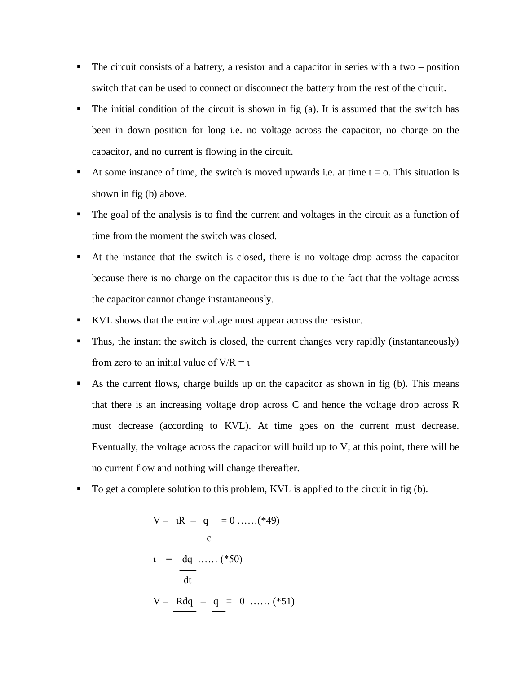- $\blacksquare$  The circuit consists of a battery, a resistor and a capacitor in series with a two position switch that can be used to connect or disconnect the battery from the rest of the circuit.
- The initial condition of the circuit is shown in fig (a). It is assumed that the switch has been in down position for long i.e. no voltage across the capacitor, no charge on the capacitor, and no current is flowing in the circuit.
- At some instance of time, the switch is moved upwards i.e. at time  $t = o$ . This situation is shown in fig (b) above.
- The goal of the analysis is to find the current and voltages in the circuit as a function of time from the moment the switch was closed.
- At the instance that the switch is closed, there is no voltage drop across the capacitor because there is no charge on the capacitor this is due to the fact that the voltage across the capacitor cannot change instantaneously.
- KVL shows that the entire voltage must appear across the resistor.
- Thus, the instant the switch is closed, the current changes very rapidly (instantaneously) from zero to an initial value of  $V/R = i$
- As the current flows, charge builds up on the capacitor as shown in fig (b). This means that there is an increasing voltage drop across C and hence the voltage drop across R must decrease (according to KVL). At time goes on the current must decrease. Eventually, the voltage across the capacitor will build up to V; at this point, there will be no current flow and nothing will change thereafter.
- To get a complete solution to this problem, KVL is applied to the circuit in fig (b).

$$
V - iR - q = 0 \dots (49)
$$
  
\n
$$
i = dq \dots (450)
$$
  
\n
$$
V - Rdq - q = 0 \dots (451)
$$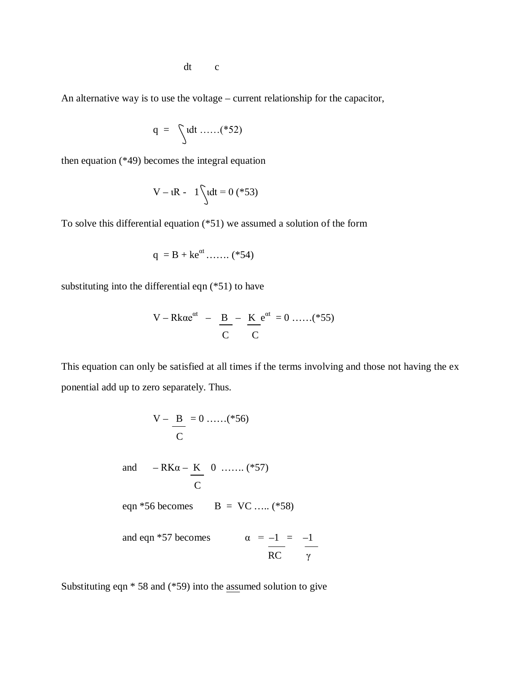dt c

An alternative way is to use the voltage – current relationship for the capacitor,

$$
q = \int dt \dots (852)
$$

then equation (\*49) becomes the integral equation

$$
V - iR - 1 \int u dt = 0
$$
 (\*53)

To solve this differential equation (\*51) we assumed a solution of the form

$$
q = B + k e^{\alpha t} \dots \dots ( *54)
$$

substituting into the differential eqn (\*51) to have

$$
V - Rk\alpha e^{\alpha t} - \frac{B}{C} - \frac{K}{C}e^{\alpha t} = 0 \dots (855)
$$

This equation can only be satisfied at all times if the terms involving and those not having the ex ponential add up to zero separately. Thus.

$$
V - \frac{B}{C} = 0 \dots (856)
$$
  
and 
$$
-RK\alpha - K \over C
$$
  
eqn\*56 becomes 
$$
B = VC \dots (858)
$$
  
and eqn\*57 becomes 
$$
\alpha = -1 = -1
$$
  
RC

Substituting eqn \* 58 and (\*59) into the assumed solution to give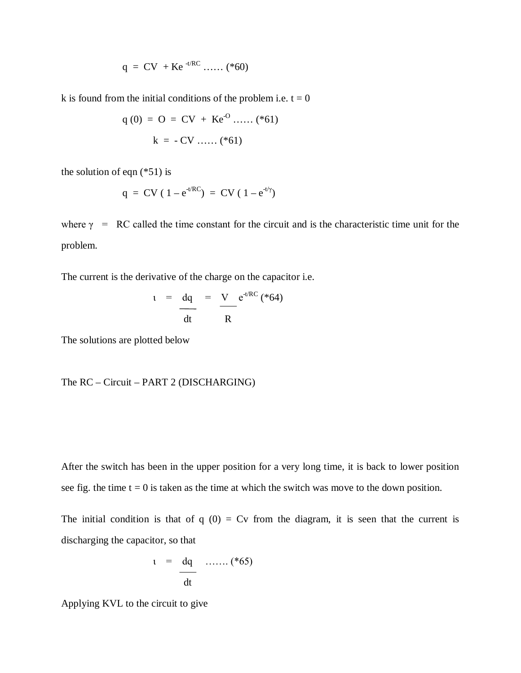$$
q = CV + Ke^{-t/RC}
$$
...... (\*60)

k is found from the initial conditions of the problem i.e.  $t = 0$ 

$$
q(0) = O = CV + Ke^{O} \dots ( *61)
$$
  

$$
k = -CV \dots ( *61)
$$

the solution of eqn  $(*51)$  is

$$
q = CV (1 - e^{-t/RC}) = CV (1 - e^{-t/\gamma})
$$

where  $\gamma$  = RC called the time constant for the circuit and is the characteristic time unit for the problem.

The current is the derivative of the charge on the capacitor i.e.

$$
u = \frac{dq}{dt} = \frac{V}{R} e^{t/RC} \left( *64 \right)
$$

The solutions are plotted below

The RC – Circuit – PART 2 (DISCHARGING)

After the switch has been in the upper position for a very long time, it is back to lower position see fig. the time  $t = 0$  is taken as the time at which the switch was move to the down position.

The initial condition is that of  $q(0) = Cv$  from the diagram, it is seen that the current is discharging the capacitor, so that

$$
t = \frac{dq}{dt} \quad ...... (*)
$$

Applying KVL to the circuit to give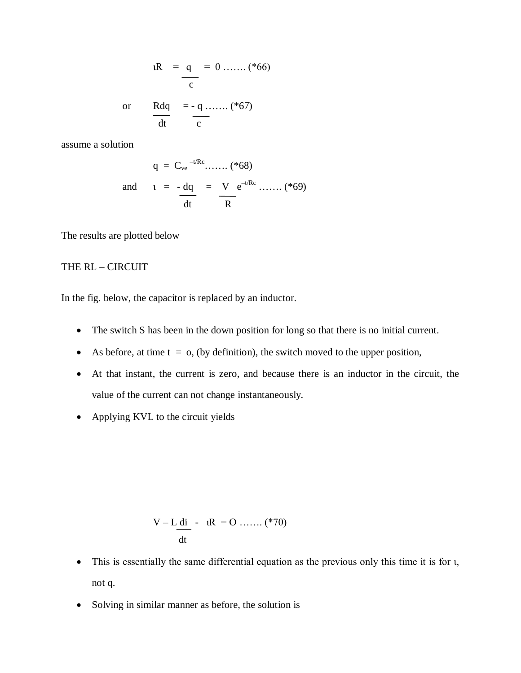$$
iR = \frac{q}{c} = 0 \dots (866)
$$

or 
$$
\frac{Rdq}{dt} = -q
$$
........(\*67)

assume a solution

$$
q = C_{ve}^{-t/RC} \dots \dots ( *68)
$$
  
and 
$$
t = -dq = V e^{-t/RC} \dots \dots ( *69)
$$
  

$$
\frac{dt}{dt} = \frac{V}{R}
$$

The results are plotted below

# THE RL – CIRCUIT

In the fig. below, the capacitor is replaced by an inductor.

- The switch S has been in the down position for long so that there is no initial current.
- As before, at time  $t = 0$ , (by definition), the switch moved to the upper position,
- At that instant, the current is zero, and because there is an inductor in the circuit, the value of the current can not change instantaneously.
- Applying KVL to the circuit yields

$$
V - L \underline{di} - iR = 0 \dots (270)
$$

- This is essentially the same differential equation as the previous only this time it is for *u*, not q.
- Solving in similar manner as before, the solution is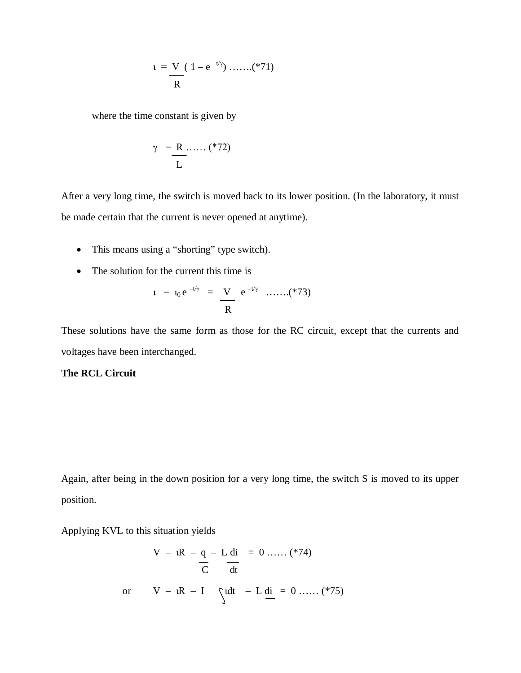$$
t = \frac{V}{R} (1 - e^{-t/\gamma}) \dots (871)
$$

where the time constant is given by

$$
\gamma = \frac{R}{L} \dots \dots \quad (*)
$$

After a very long time, the switch is moved back to its lower position. (In the laboratory, it must be made certain that the current is never opened at anytime).

- This means using a "shorting" type switch).
- The solution for the current this time is

$$
t = t_0 e^{-t/\gamma} = \frac{V}{R} e^{-t/\gamma} \quad \dots (873)
$$

These solutions have the same form as those for the RC circuit, except that the currents and voltages have been interchanged.

### **The RCL Circuit**

Again, after being in the down position for a very long time, the switch S is moved to its upper position.

Applying KVL to this situation yields

$$
V - iR - q - L di = 0 \dots (274)
$$
  
or 
$$
V - iR - I \quad \text{and} \quad -L \underline{di} = 0 \dots (275)
$$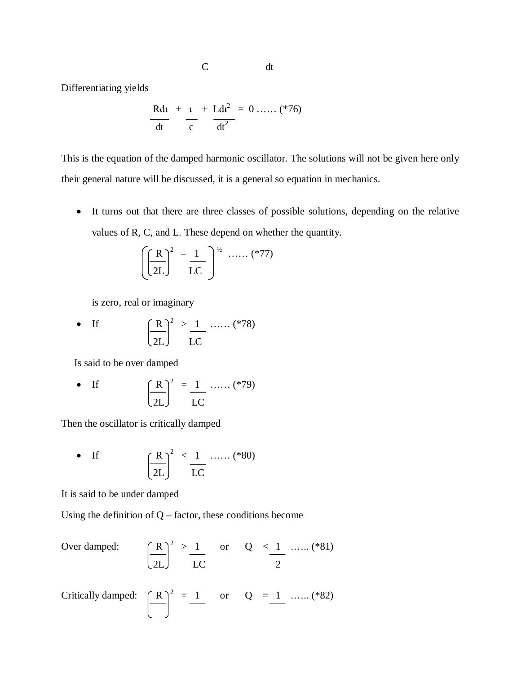C dt

Differentiating yields

$$
\frac{Rdt}{dt} + \frac{t}{c} + \frac{Ldt^{2}}{dt^{2}} = 0 \dots \dots (276)
$$

This is the equation of the damped harmonic oscillator. The solutions will not be given here only their general nature will be discussed, it is a general so equation in mechanics.

 It turns out that there are three classes of possible solutions, depending on the relative values of R, C, and L. These depend on whether the quantity.

$$
\left(\left(\frac{R}{2L}\right)^2 - \frac{1}{LC}\right)^{1/2} \dots \dots \quad (*)77)
$$

is zero, real or imaginary

• If 
$$
\left(\frac{R}{2L}\right)^2 > \frac{1}{LC}
$$
 ...... (\*)

Is said to be over damped

• If 
$$
\left(\frac{R}{2L}\right)^2 = \frac{1}{LC}
$$
 ...... (\*)79

Then the oscillator is critically damped

• If 
$$
\left(\frac{R}{2L}\right)^2 \le \frac{1}{LC}
$$
 ...... (\*)

It is said to be under damped

Using the definition of  $Q$  – factor, these conditions become

Over damped: 
$$
\left(\frac{R}{2L}\right)^2 > \frac{1}{LC}
$$
 or  $Q < \frac{1}{2}$  ...... (\*)81)

Critically damped: 
$$
\left( \frac{R}{\cdot} \right)^2 = \frac{1}{\cdot} \quad \text{or} \quad Q = \frac{1}{\cdot} \dots \dots \text{ (*82)}
$$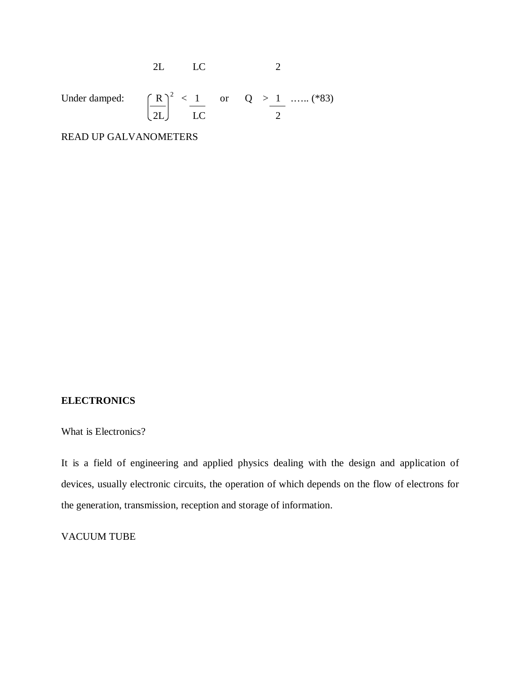Under damped: 
$$
\left(\frac{R}{2L}\right)^2 \le \frac{1}{LC}
$$
 or  $Q > \frac{1}{2}$  ...... (\*)3)

2L LC 2

READ UP GALVANOMETERS

### **ELECTRONICS**

What is Electronics?

It is a field of engineering and applied physics dealing with the design and application of devices, usually electronic circuits, the operation of which depends on the flow of electrons for the generation, transmission, reception and storage of information.

# VACUUM TUBE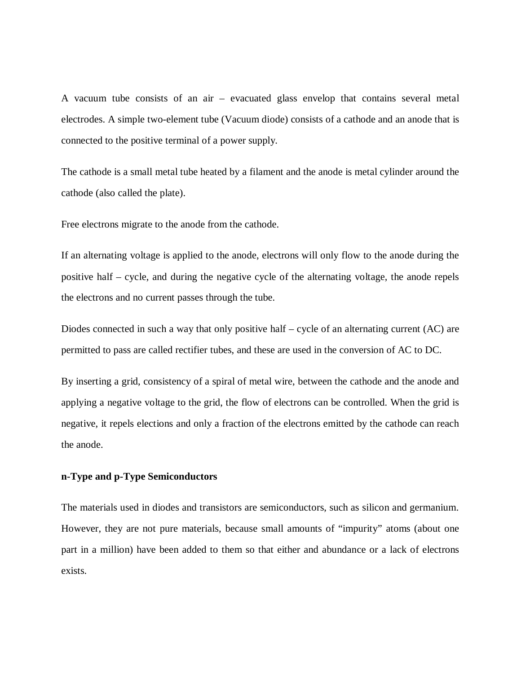A vacuum tube consists of an air – evacuated glass envelop that contains several metal electrodes. A simple two-element tube (Vacuum diode) consists of a cathode and an anode that is connected to the positive terminal of a power supply.

The cathode is a small metal tube heated by a filament and the anode is metal cylinder around the cathode (also called the plate).

Free electrons migrate to the anode from the cathode.

If an alternating voltage is applied to the anode, electrons will only flow to the anode during the positive half – cycle, and during the negative cycle of the alternating voltage, the anode repels the electrons and no current passes through the tube.

Diodes connected in such a way that only positive half – cycle of an alternating current (AC) are permitted to pass are called rectifier tubes, and these are used in the conversion of AC to DC.

By inserting a grid, consistency of a spiral of metal wire, between the cathode and the anode and applying a negative voltage to the grid, the flow of electrons can be controlled. When the grid is negative, it repels elections and only a fraction of the electrons emitted by the cathode can reach the anode.

### **n-Type and p-Type Semiconductors**

The materials used in diodes and transistors are semiconductors, such as silicon and germanium. However, they are not pure materials, because small amounts of "impurity" atoms (about one part in a million) have been added to them so that either and abundance or a lack of electrons exists.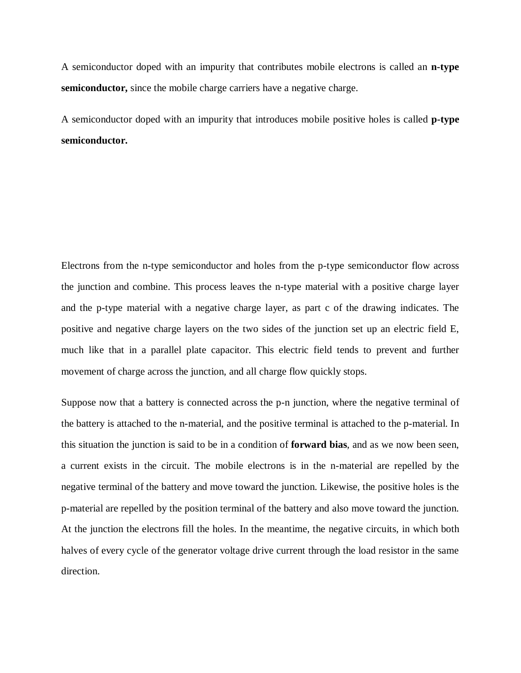A semiconductor doped with an impurity that contributes mobile electrons is called an **n-type semiconductor,** since the mobile charge carriers have a negative charge.

A semiconductor doped with an impurity that introduces mobile positive holes is called **p-type semiconductor.**

Electrons from the n-type semiconductor and holes from the p-type semiconductor flow across the junction and combine. This process leaves the n-type material with a positive charge layer and the p-type material with a negative charge layer, as part c of the drawing indicates. The positive and negative charge layers on the two sides of the junction set up an electric field E, much like that in a parallel plate capacitor. This electric field tends to prevent and further movement of charge across the junction, and all charge flow quickly stops.

Suppose now that a battery is connected across the p-n junction, where the negative terminal of the battery is attached to the n-material, and the positive terminal is attached to the p-material. In this situation the junction is said to be in a condition of **forward bias**, and as we now been seen, a current exists in the circuit. The mobile electrons is in the n-material are repelled by the negative terminal of the battery and move toward the junction. Likewise, the positive holes is the p-material are repelled by the position terminal of the battery and also move toward the junction. At the junction the electrons fill the holes. In the meantime, the negative circuits, in which both halves of every cycle of the generator voltage drive current through the load resistor in the same direction.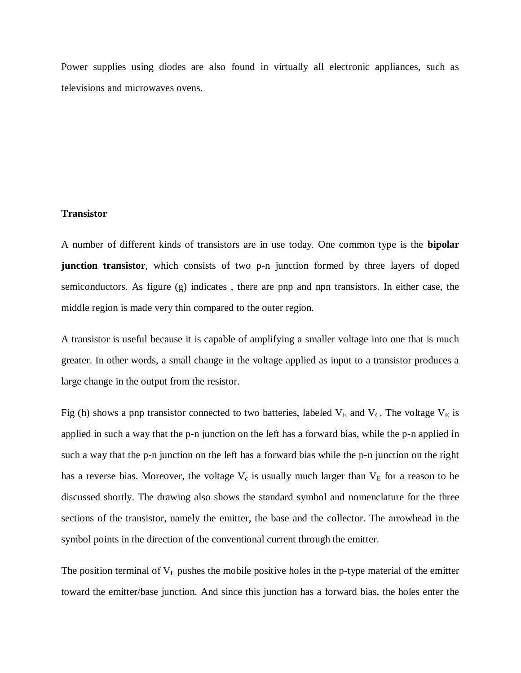Power supplies using diodes are also found in virtually all electronic appliances, such as televisions and microwaves ovens.

#### **Transistor**

A number of different kinds of transistors are in use today. One common type is the **bipolar junction transistor**, which consists of two p-n junction formed by three layers of doped semiconductors. As figure (g) indicates , there are pnp and npn transistors. In either case, the middle region is made very thin compared to the outer region.

A transistor is useful because it is capable of amplifying a smaller voltage into one that is much greater. In other words, a small change in the voltage applied as input to a transistor produces a large change in the output from the resistor.

Fig (h) shows a pnp transistor connected to two batteries, labeled  $V_E$  and  $V_C$ . The voltage  $V_E$  is applied in such a way that the p-n junction on the left has a forward bias, while the p-n applied in such a way that the p-n junction on the left has a forward bias while the p-n junction on the right has a reverse bias. Moreover, the voltage  $V_c$  is usually much larger than  $V_E$  for a reason to be discussed shortly. The drawing also shows the standard symbol and nomenclature for the three sections of the transistor, namely the emitter, the base and the collector. The arrowhead in the symbol points in the direction of the conventional current through the emitter.

The position terminal of  $V_E$  pushes the mobile positive holes in the p-type material of the emitter toward the emitter/base junction. And since this junction has a forward bias, the holes enter the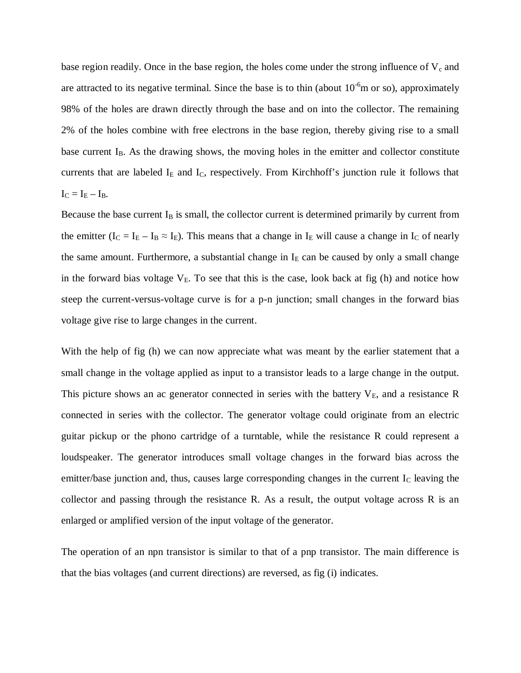base region readily. Once in the base region, the holes come under the strong influence of  $V_c$  and are attracted to its negative terminal. Since the base is to thin (about  $10^{-6}$ m or so), approximately 98% of the holes are drawn directly through the base and on into the collector. The remaining 2% of the holes combine with free electrons in the base region, thereby giving rise to a small base current  $I_B$ . As the drawing shows, the moving holes in the emitter and collector constitute currents that are labeled  $I<sub>E</sub>$  and  $I<sub>C</sub>$ , respectively. From Kirchhoff's junction rule it follows that  $I_C = I_E - I_B$ .

Because the base current  $I_B$  is small, the collector current is determined primarily by current from the emitter ( $I_C = I_E - I_B \approx I_E$ ). This means that a change in  $I_E$  will cause a change in  $I_C$  of nearly the same amount. Furthermore, a substantial change in  $I<sub>E</sub>$  can be caused by only a small change in the forward bias voltage  $V_E$ . To see that this is the case, look back at fig (h) and notice how steep the current-versus-voltage curve is for a p-n junction; small changes in the forward bias voltage give rise to large changes in the current.

With the help of fig (h) we can now appreciate what was meant by the earlier statement that a small change in the voltage applied as input to a transistor leads to a large change in the output. This picture shows an ac generator connected in series with the battery  $V_E$ , and a resistance R connected in series with the collector. The generator voltage could originate from an electric guitar pickup or the phono cartridge of a turntable, while the resistance R could represent a loudspeaker. The generator introduces small voltage changes in the forward bias across the emitter/base junction and, thus, causes large corresponding changes in the current  $I_c$  leaving the collector and passing through the resistance R. As a result, the output voltage across R is an enlarged or amplified version of the input voltage of the generator.

The operation of an npn transistor is similar to that of a pnp transistor. The main difference is that the bias voltages (and current directions) are reversed, as fig (i) indicates.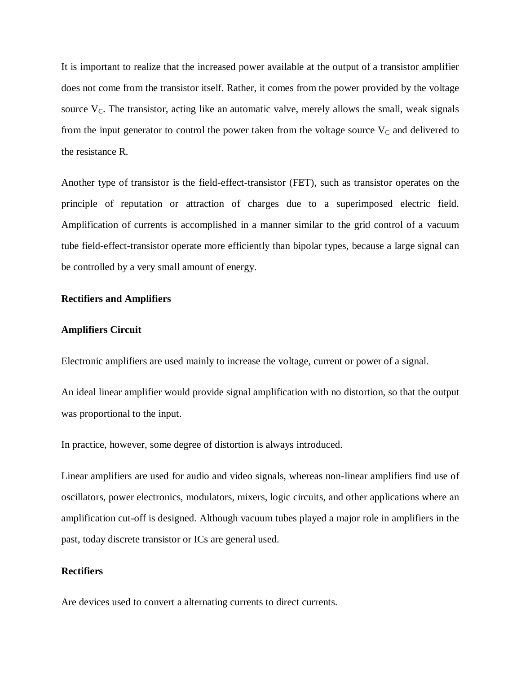It is important to realize that the increased power available at the output of a transistor amplifier does not come from the transistor itself. Rather, it comes from the power provided by the voltage source  $V<sub>C</sub>$ . The transistor, acting like an automatic valve, merely allows the small, weak signals from the input generator to control the power taken from the voltage source  $V_c$  and delivered to the resistance R.

Another type of transistor is the field-effect-transistor (FET), such as transistor operates on the principle of reputation or attraction of charges due to a superimposed electric field. Amplification of currents is accomplished in a manner similar to the grid control of a vacuum tube field-effect-transistor operate more efficiently than bipolar types, because a large signal can be controlled by a very small amount of energy.

### **Rectifiers and Amplifiers**

#### **Amplifiers Circuit**

Electronic amplifiers are used mainly to increase the voltage, current or power of a signal.

An ideal linear amplifier would provide signal amplification with no distortion, so that the output was proportional to the input.

In practice, however, some degree of distortion is always introduced.

Linear amplifiers are used for audio and video signals, whereas non-linear amplifiers find use of oscillators, power electronics, modulators, mixers, logic circuits, and other applications where an amplification cut-off is designed. Although vacuum tubes played a major role in amplifiers in the past, today discrete transistor or ICs are general used.

# **Rectifiers**

Are devices used to convert a alternating currents to direct currents.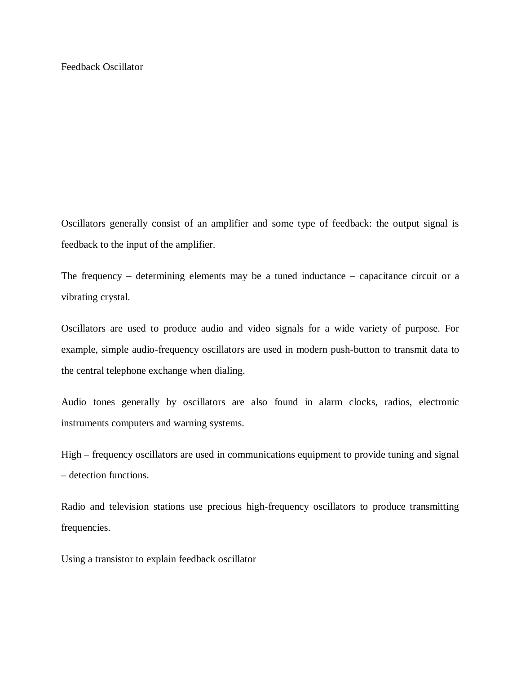Oscillators generally consist of an amplifier and some type of feedback: the output signal is feedback to the input of the amplifier.

The frequency – determining elements may be a tuned inductance – capacitance circuit or a vibrating crystal.

Oscillators are used to produce audio and video signals for a wide variety of purpose. For example, simple audio-frequency oscillators are used in modern push-button to transmit data to the central telephone exchange when dialing.

Audio tones generally by oscillators are also found in alarm clocks, radios, electronic instruments computers and warning systems.

High – frequency oscillators are used in communications equipment to provide tuning and signal – detection functions.

Radio and television stations use precious high-frequency oscillators to produce transmitting frequencies.

Using a transistor to explain feedback oscillator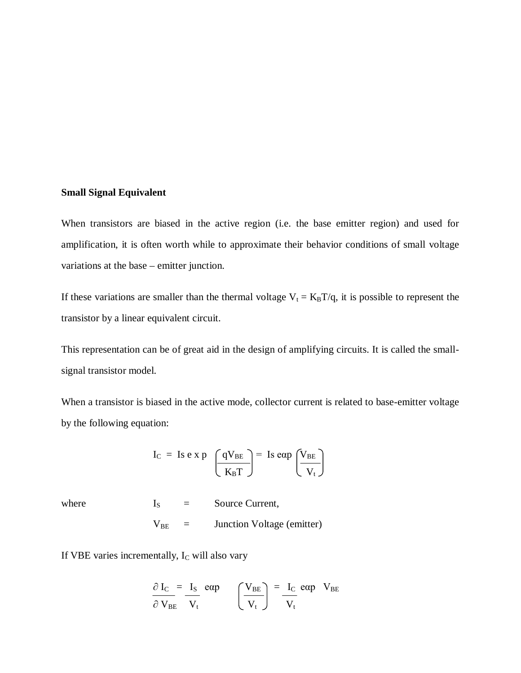### **Small Signal Equivalent**

When transistors are biased in the active region (i.e. the base emitter region) and used for amplification, it is often worth while to approximate their behavior conditions of small voltage variations at the base – emitter junction.

If these variations are smaller than the thermal voltage  $V_t = K_B T/q$ , it is possible to represent the transistor by a linear equivalent circuit.

This representation can be of great aid in the design of amplifying circuits. It is called the smallsignal transistor model.

When a transistor is biased in the active mode, collector current is related to base-emitter voltage by the following equation:

$$
I_C
$$
 = Is e x p  $\left(\frac{qV_{BE}}{K_B T}\right)$  = Is eap  $\left(\frac{V_{BE}}{V_t}\right)$ 

where  $I_S =$  Source Current,

$$
V_{BE} = Junction Voltage (emitter)
$$

If VBE varies incrementally, I<sub>C</sub> will also vary

$$
\frac{\partial I_{\rm C}}{\partial V_{\rm BE}} = \frac{I_{\rm S}}{V_{\rm t}} \quad \text{exp} \qquad \left(\frac{V_{\rm BE}}{V_{\rm t}}\right) = \frac{I_{\rm C}}{V_{\rm t}} \quad \text{exp} \quad V_{\rm BE}
$$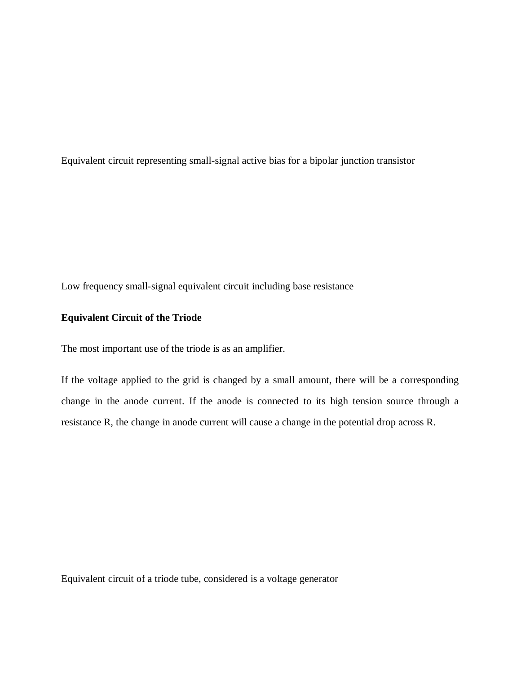Equivalent circuit representing small-signal active bias for a bipolar junction transistor

Low frequency small-signal equivalent circuit including base resistance

# **Equivalent Circuit of the Triode**

The most important use of the triode is as an amplifier.

If the voltage applied to the grid is changed by a small amount, there will be a corresponding change in the anode current. If the anode is connected to its high tension source through a resistance R, the change in anode current will cause a change in the potential drop across R.

Equivalent circuit of a triode tube, considered is a voltage generator